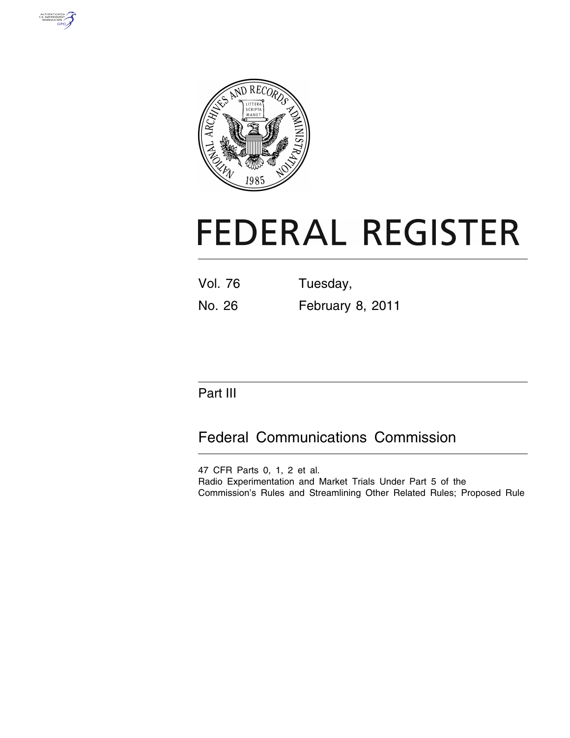



# **FEDERAL REGISTER**

| <b>Vol. 76</b> | Tuesday,         |  |  |
|----------------|------------------|--|--|
| No. 26         | February 8, 2011 |  |  |

# Part III

# Federal Communications Commission

47 CFR Parts 0, 1, 2 et al.

Radio Experimentation and Market Trials Under Part 5 of the Commission's Rules and Streamlining Other Related Rules; Proposed Rule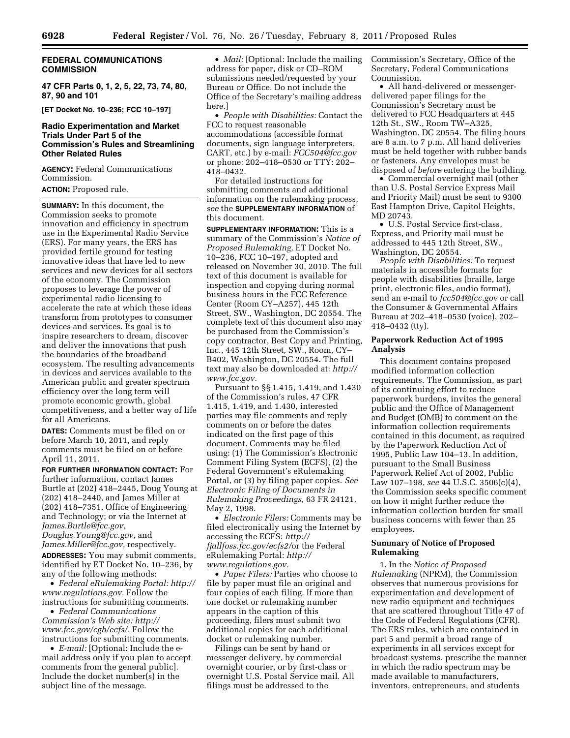# **FEDERAL COMMUNICATIONS COMMISSION**

**47 CFR Parts 0, 1, 2, 5, 22, 73, 74, 80, 87, 90 and 101** 

**[ET Docket No. 10–236; FCC 10–197]** 

# **Radio Experimentation and Market Trials Under Part 5 of the Commission's Rules and Streamlining Other Related Rules**

**AGENCY:** Federal Communications Commission.

# **ACTION:** Proposed rule.

**SUMMARY:** In this document, the Commission seeks to promote innovation and efficiency in spectrum use in the Experimental Radio Service (ERS). For many years, the ERS has provided fertile ground for testing innovative ideas that have led to new services and new devices for all sectors of the economy. The Commission proposes to leverage the power of experimental radio licensing to accelerate the rate at which these ideas transform from prototypes to consumer devices and services. Its goal is to inspire researchers to dream, discover and deliver the innovations that push the boundaries of the broadband ecosystem. The resulting advancements in devices and services available to the American public and greater spectrum efficiency over the long term will promote economic growth, global competitiveness, and a better way of life for all Americans.

**DATES:** Comments must be filed on or before March 10, 2011, and reply comments must be filed on or before April 11, 2011.

**FOR FURTHER INFORMATION CONTACT:** For further information, contact James Burtle at (202) 418–2445, Doug Young at (202) 418–2440, and James Miller at (202) 418–7351, Office of Engineering and Technology; or via the Internet at *[James.Burtle@fcc.gov,](mailto:James.Burtle@fcc.gov)* 

*Douglas.Young@fcc.gov,* and *[James.Miller@fcc.gov,](mailto:James.Miller@fcc.gov)* respectively. **ADDRESSES:** You may submit comments, identified by ET Docket No. 10–236, by any of the following methods:

• *Federal eRulemaking Portal: [http://](http://www.regulations.gov)  [www.regulations.gov.](http://www.regulations.gov)* Follow the instructions for submitting comments.

• *Federal Communications Commission's Web site: [http://](http://www.fcc.gov/cgb/ecfs/) [www.fcc.gov/cgb/ecfs/.](http://www.fcc.gov/cgb/ecfs/)* Follow the instructions for submitting comments.

• *E-mail:* [Optional: Include the email address only if you plan to accept comments from the general public]. Include the docket number(s) in the subject line of the message.

• *Mail:* [Optional: Include the mailing address for paper, disk or CD–ROM submissions needed/requested by your Bureau or Office. Do not include the Office of the Secretary's mailing address here.]

• *People with Disabilities:* Contact the FCC to request reasonable accommodations (accessible format documents, sign language interpreters, CART, etc.) by e-mail: *[FCC504@fcc.gov](mailto:FCC504@fcc.gov)*  or phone: 202–418–0530 or TTY: 202– 418–0432.

For detailed instructions for submitting comments and additional information on the rulemaking process, *see* the **SUPPLEMENTARY INFORMATION** of this document.

**SUPPLEMENTARY INFORMATION:** This is a summary of the Commission's *Notice of Proposed Rulemaking,* ET Docket No. 10–236, FCC 10–197, adopted and released on November 30, 2010. The full text of this document is available for inspection and copying during normal business hours in the FCC Reference Center (Room CY–A257), 445 12th Street, SW., Washington, DC 20554. The complete text of this document also may be purchased from the Commission's copy contractor, Best Copy and Printing, Inc., 445 12th Street, SW., Room, CY– B402, Washington, DC 20554. The full text may also be downloaded at: *[http://](http://www.fcc.gov)  [www.fcc.gov.](http://www.fcc.gov)* 

Pursuant to §§ 1.415, 1.419, and 1.430 of the Commission's rules, 47 CFR 1.415, 1.419, and 1.430, interested parties may file comments and reply comments on or before the dates indicated on the first page of this document. Comments may be filed using: (1) The Commission's Electronic Comment Filing System (ECFS), (2) the Federal Government's eRulemaking Portal, or (3) by filing paper copies. *See Electronic Filing of Documents in Rulemaking Proceedings,* 63 FR 24121, May 2, 1998.

• *Electronic Filers:* Comments may be filed electronically using the Internet by accessing the ECFS: *http:// fjallfoss.fcc.gov/ecfs2/*or the Federal eRulemaking Portal: *[http://](http://www.regulations.gov) [www.regulations.gov.](http://www.regulations.gov)* 

• *Paper Filers:* Parties who choose to file by paper must file an original and four copies of each filing. If more than one docket or rulemaking number appears in the caption of this proceeding, filers must submit two additional copies for each additional docket or rulemaking number.

Filings can be sent by hand or messenger delivery, by commercial overnight courier, or by first-class or overnight U.S. Postal Service mail. All filings must be addressed to the

Commission's Secretary, Office of the Secretary, Federal Communications Commission.

• All hand-delivered or messengerdelivered paper filings for the Commission's Secretary must be delivered to FCC Headquarters at 445 12th St., SW., Room TW–A325, Washington, DC 20554. The filing hours are 8 a.m. to 7 p.m. All hand deliveries must be held together with rubber bands or fasteners. Any envelopes must be disposed of *before* entering the building.

• Commercial overnight mail (other than U.S. Postal Service Express Mail and Priority Mail) must be sent to 9300 East Hampton Drive, Capitol Heights, MD 20743.

• U.S. Postal Service first-class, Express, and Priority mail must be addressed to 445 12th Street, SW., Washington, DC 20554.

*People with Disabilities:* To request materials in accessible formats for people with disabilities (braille, large print, electronic files, audio format), send an e-mail to *[fcc504@fcc.gov](mailto:fcc504@fcc.gov)* or call the Consumer & Governmental Affairs Bureau at 202–418–0530 (voice), 202– 418–0432 (tty).

# **Paperwork Reduction Act of 1995 Analysis**

This document contains proposed modified information collection requirements. The Commission, as part of its continuing effort to reduce paperwork burdens, invites the general public and the Office of Management and Budget (OMB) to comment on the information collection requirements contained in this document, as required by the Paperwork Reduction Act of 1995, Public Law 104–13. In addition, pursuant to the Small Business Paperwork Relief Act of 2002, Public Law 107–198, *see* 44 U.S.C. 3506(c)(4), the Commission seeks specific comment on how it might further reduce the information collection burden for small business concerns with fewer than 25 employees.

# **Summary of Notice of Proposed Rulemaking**

1. In the *Notice of Proposed Rulemaking* (NPRM), the Commission observes that numerous provisions for experimentation and development of new radio equipment and techniques that are scattered throughout Title 47 of the Code of Federal Regulations (CFR). The ERS rules, which are contained in part 5 and permit a broad range of experiments in all services except for broadcast systems, prescribe the manner in which the radio spectrum may be made available to manufacturers, inventors, entrepreneurs, and students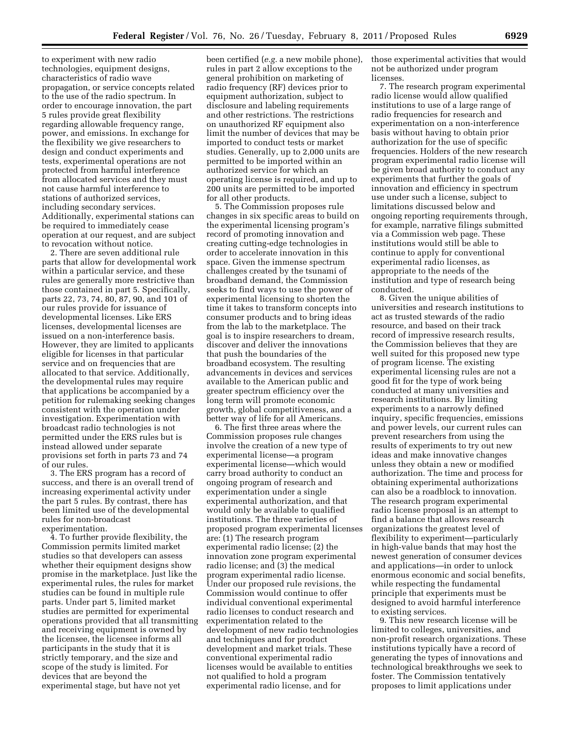to experiment with new radio technologies, equipment designs, characteristics of radio wave propagation, or service concepts related to the use of the radio spectrum. In order to encourage innovation, the part 5 rules provide great flexibility regarding allowable frequency range, power, and emissions. In exchange for the flexibility we give researchers to design and conduct experiments and tests, experimental operations are not protected from harmful interference from allocated services and they must not cause harmful interference to stations of authorized services, including secondary services. Additionally, experimental stations can be required to immediately cease operation at our request, and are subject to revocation without notice.

2. There are seven additional rule parts that allow for developmental work within a particular service, and these rules are generally more restrictive than those contained in part 5. Specifically, parts 22, 73, 74, 80, 87, 90, and 101 of our rules provide for issuance of developmental licenses. Like ERS licenses, developmental licenses are issued on a non-interference basis. However, they are limited to applicants eligible for licenses in that particular service and on frequencies that are allocated to that service. Additionally, the developmental rules may require that applications be accompanied by a petition for rulemaking seeking changes consistent with the operation under investigation. Experimentation with broadcast radio technologies is not permitted under the ERS rules but is instead allowed under separate provisions set forth in parts 73 and 74 of our rules.

3. The ERS program has a record of success, and there is an overall trend of increasing experimental activity under the part 5 rules. By contrast, there has been limited use of the developmental rules for non-broadcast experimentation.

4. To further provide flexibility, the Commission permits limited market studies so that developers can assess whether their equipment designs show promise in the marketplace. Just like the experimental rules, the rules for market studies can be found in multiple rule parts. Under part 5, limited market studies are permitted for experimental operations provided that all transmitting and receiving equipment is owned by the licensee, the licensee informs all participants in the study that it is strictly temporary, and the size and scope of the study is limited. For devices that are beyond the experimental stage, but have not yet

been certified (*e.g.* a new mobile phone), rules in part 2 allow exceptions to the general prohibition on marketing of radio frequency (RF) devices prior to equipment authorization, subject to disclosure and labeling requirements and other restrictions. The restrictions on unauthorized RF equipment also limit the number of devices that may be imported to conduct tests or market studies. Generally, up to 2,000 units are permitted to be imported within an authorized service for which an operating license is required, and up to 200 units are permitted to be imported for all other products.

5. The Commission proposes rule changes in six specific areas to build on the experimental licensing program's record of promoting innovation and creating cutting-edge technologies in order to accelerate innovation in this space. Given the immense spectrum challenges created by the tsunami of broadband demand, the Commission seeks to find ways to use the power of experimental licensing to shorten the time it takes to transform concepts into consumer products and to bring ideas from the lab to the marketplace. The goal is to inspire researchers to dream, discover and deliver the innovations that push the boundaries of the broadband ecosystem. The resulting advancements in devices and services available to the American public and greater spectrum efficiency over the long term will promote economic growth, global competitiveness, and a better way of life for all Americans.

6. The first three areas where the Commission proposes rule changes involve the creation of a new type of experimental license—a program experimental license—which would carry broad authority to conduct an ongoing program of research and experimentation under a single experimental authorization, and that would only be available to qualified institutions. The three varieties of proposed program experimental licenses are: (1) The research program experimental radio license; (2) the innovation zone program experimental radio license; and (3) the medical program experimental radio license. Under our proposed rule revisions, the Commission would continue to offer individual conventional experimental radio licenses to conduct research and experimentation related to the development of new radio technologies and techniques and for product development and market trials. These conventional experimental radio licenses would be available to entities not qualified to hold a program experimental radio license, and for

those experimental activities that would not be authorized under program licenses.

7. The research program experimental radio license would allow qualified institutions to use of a large range of radio frequencies for research and experimentation on a non-interference basis without having to obtain prior authorization for the use of specific frequencies. Holders of the new research program experimental radio license will be given broad authority to conduct any experiments that further the goals of innovation and efficiency in spectrum use under such a license, subject to limitations discussed below and ongoing reporting requirements through, for example, narrative filings submitted via a Commission web page. These institutions would still be able to continue to apply for conventional experimental radio licenses, as appropriate to the needs of the institution and type of research being conducted.

8. Given the unique abilities of universities and research institutions to act as trusted stewards of the radio resource, and based on their track record of impressive research results, the Commission believes that they are well suited for this proposed new type of program license. The existing experimental licensing rules are not a good fit for the type of work being conducted at many universities and research institutions. By limiting experiments to a narrowly defined inquiry, specific frequencies, emissions and power levels, our current rules can prevent researchers from using the results of experiments to try out new ideas and make innovative changes unless they obtain a new or modified authorization. The time and process for obtaining experimental authorizations can also be a roadblock to innovation. The research program experimental radio license proposal is an attempt to find a balance that allows research organizations the greatest level of flexibility to experiment—particularly in high-value bands that may host the newest generation of consumer devices and applications—in order to unlock enormous economic and social benefits, while respecting the fundamental principle that experiments must be designed to avoid harmful interference to existing services.

9. This new research license will be limited to colleges, universities, and non-profit research organizations. These institutions typically have a record of generating the types of innovations and technological breakthroughs we seek to foster. The Commission tentatively proposes to limit applications under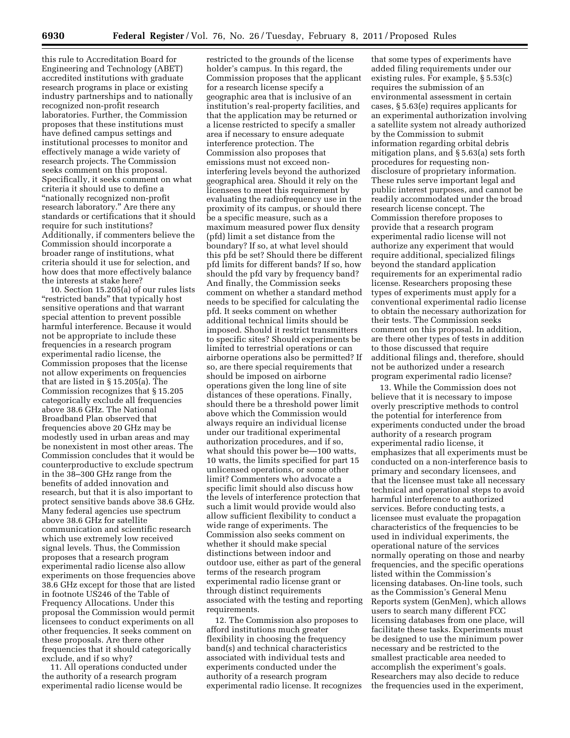this rule to Accreditation Board for Engineering and Technology (ABET) accredited institutions with graduate research programs in place or existing industry partnerships and to nationally recognized non-profit research laboratories. Further, the Commission proposes that these institutions must have defined campus settings and institutional processes to monitor and effectively manage a wide variety of research projects. The Commission seeks comment on this proposal. Specifically, it seeks comment on what criteria it should use to define a ''nationally recognized non-profit research laboratory.'' Are there any standards or certifications that it should require for such institutions? Additionally, if commenters believe the Commission should incorporate a broader range of institutions, what criteria should it use for selection, and how does that more effectively balance the interests at stake here?

10. Section 15.205(a) of our rules lists "restricted bands" that typically host sensitive operations and that warrant special attention to prevent possible harmful interference. Because it would not be appropriate to include these frequencies in a research program experimental radio license, the Commission proposes that the license not allow experiments on frequencies that are listed in § 15.205(a). The Commission recognizes that § 15.205 categorically exclude all frequencies above 38.6 GHz. The National Broadband Plan observed that frequencies above 20 GHz may be modestly used in urban areas and may be nonexistent in most other areas. The Commission concludes that it would be counterproductive to exclude spectrum in the 38–300 GHz range from the benefits of added innovation and research, but that it is also important to protect sensitive bands above 38.6 GHz. Many federal agencies use spectrum above 38.6 GHz for satellite communication and scientific research which use extremely low received signal levels. Thus, the Commission proposes that a research program experimental radio license also allow experiments on those frequencies above 38.6 GHz except for those that are listed in footnote US246 of the Table of Frequency Allocations. Under this proposal the Commission would permit licensees to conduct experiments on all other frequencies. It seeks comment on these proposals. Are there other frequencies that it should categorically exclude, and if so why?

11. All operations conducted under the authority of a research program experimental radio license would be

restricted to the grounds of the license holder's campus. In this regard, the Commission proposes that the applicant for a research license specify a geographic area that is inclusive of an institution's real-property facilities, and that the application may be returned or a license restricted to specify a smaller area if necessary to ensure adequate interference protection. The Commission also proposes that emissions must not exceed noninterfering levels beyond the authorized geographical area. Should it rely on the licensees to meet this requirement by evaluating the radiofrequency use in the proximity of its campus, or should there be a specific measure, such as a maximum measured power flux density (pfd) limit a set distance from the boundary? If so, at what level should this pfd be set? Should there be different pfd limits for different bands? If so, how should the pfd vary by frequency band? And finally, the Commission seeks comment on whether a standard method needs to be specified for calculating the pfd. It seeks comment on whether additional technical limits should be imposed. Should it restrict transmitters to specific sites? Should experiments be limited to terrestrial operations or can airborne operations also be permitted? If so, are there special requirements that should be imposed on airborne operations given the long line of site distances of these operations. Finally, should there be a threshold power limit above which the Commission would always require an individual license under our traditional experimental authorization procedures, and if so, what should this power be—100 watts, 10 watts, the limits specified for part 15 unlicensed operations, or some other limit? Commenters who advocate a specific limit should also discuss how the levels of interference protection that such a limit would provide would also allow sufficient flexibility to conduct a wide range of experiments. The Commission also seeks comment on whether it should make special distinctions between indoor and outdoor use, either as part of the general terms of the research program experimental radio license grant or through distinct requirements associated with the testing and reporting requirements.

12. The Commission also proposes to afford institutions much greater flexibility in choosing the frequency band(s) and technical characteristics associated with individual tests and experiments conducted under the authority of a research program experimental radio license. It recognizes

that some types of experiments have added filing requirements under our existing rules. For example, § 5.53(c) requires the submission of an environmental assessment in certain cases, § 5.63(e) requires applicants for an experimental authorization involving a satellite system not already authorized by the Commission to submit information regarding orbital debris mitigation plans, and § 5.63(a) sets forth procedures for requesting nondisclosure of proprietary information. These rules serve important legal and public interest purposes, and cannot be readily accommodated under the broad research license concept. The Commission therefore proposes to provide that a research program experimental radio license will not authorize any experiment that would require additional, specialized filings beyond the standard application requirements for an experimental radio license. Researchers proposing these types of experiments must apply for a conventional experimental radio license to obtain the necessary authorization for their tests. The Commission seeks comment on this proposal. In addition, are there other types of tests in addition to those discussed that require additional filings and, therefore, should not be authorized under a research program experimental radio license?

13. While the Commission does not believe that it is necessary to impose overly prescriptive methods to control the potential for interference from experiments conducted under the broad authority of a research program experimental radio license, it emphasizes that all experiments must be conducted on a non-interference basis to primary and secondary licensees, and that the licensee must take all necessary technical and operational steps to avoid harmful interference to authorized services. Before conducting tests, a licensee must evaluate the propagation characteristics of the frequencies to be used in individual experiments, the operational nature of the services normally operating on those and nearby frequencies, and the specific operations listed within the Commission's licensing databases. On-line tools, such as the Commission's General Menu Reports system (GenMen), which allows users to search many different FCC licensing databases from one place, will facilitate these tasks. Experiments must be designed to use the minimum power necessary and be restricted to the smallest practicable area needed to accomplish the experiment's goals. Researchers may also decide to reduce the frequencies used in the experiment,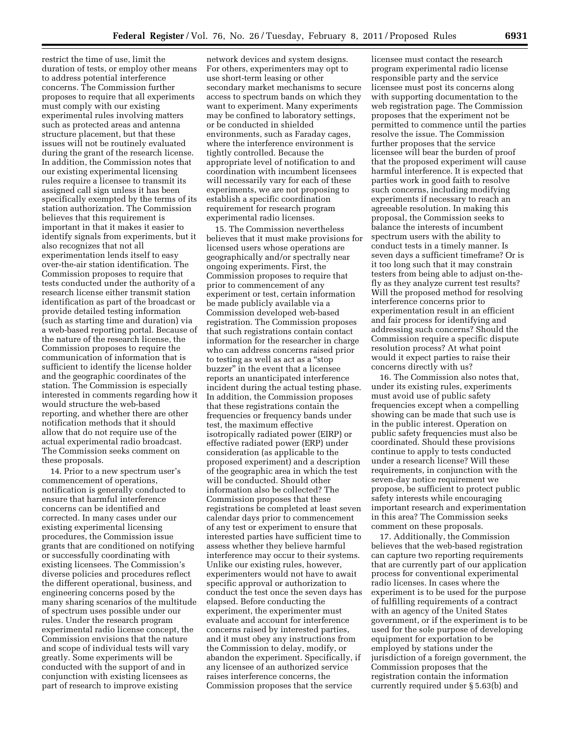restrict the time of use, limit the duration of tests, or employ other means to address potential interference concerns. The Commission further proposes to require that all experiments must comply with our existing experimental rules involving matters such as protected areas and antenna structure placement, but that these issues will not be routinely evaluated during the grant of the research license. In addition, the Commission notes that our existing experimental licensing rules require a licensee to transmit its assigned call sign unless it has been specifically exempted by the terms of its station authorization. The Commission believes that this requirement is important in that it makes it easier to identify signals from experiments, but it also recognizes that not all experimentation lends itself to easy over-the-air station identification. The Commission proposes to require that tests conducted under the authority of a research license either transmit station identification as part of the broadcast or provide detailed testing information (such as starting time and duration) via a web-based reporting portal. Because of the nature of the research license, the Commission proposes to require the communication of information that is sufficient to identify the license holder and the geographic coordinates of the station. The Commission is especially interested in comments regarding how it would structure the web-based reporting, and whether there are other notification methods that it should allow that do not require use of the actual experimental radio broadcast. The Commission seeks comment on these proposals.

14. Prior to a new spectrum user's commencement of operations, notification is generally conducted to ensure that harmful interference concerns can be identified and corrected. In many cases under our existing experimental licensing procedures, the Commission issue grants that are conditioned on notifying or successfully coordinating with existing licensees. The Commission's diverse policies and procedures reflect the different operational, business, and engineering concerns posed by the many sharing scenarios of the multitude of spectrum uses possible under our rules. Under the research program experimental radio license concept, the Commission envisions that the nature and scope of individual tests will vary greatly. Some experiments will be conducted with the support of and in conjunction with existing licensees as part of research to improve existing

network devices and system designs. For others, experimenters may opt to use short-term leasing or other secondary market mechanisms to secure access to spectrum bands on which they want to experiment. Many experiments may be confined to laboratory settings, or be conducted in shielded environments, such as Faraday cages, where the interference environment is tightly controlled. Because the appropriate level of notification to and coordination with incumbent licensees will necessarily vary for each of these experiments, we are not proposing to establish a specific coordination requirement for research program experimental radio licenses.

15. The Commission nevertheless believes that it must make provisions for licensed users whose operations are geographically and/or spectrally near ongoing experiments. First, the Commission proposes to require that prior to commencement of any experiment or test, certain information be made publicly available via a Commission developed web-based registration. The Commission proposes that such registrations contain contact information for the researcher in charge who can address concerns raised prior to testing as well as act as a ''stop buzzer'' in the event that a licensee reports an unanticipated interference incident during the actual testing phase. In addition, the Commission proposes that these registrations contain the frequencies or frequency bands under test, the maximum effective isotropically radiated power (EIRP) or effective radiated power (ERP) under consideration (as applicable to the proposed experiment) and a description of the geographic area in which the test will be conducted. Should other information also be collected? The Commission proposes that these registrations be completed at least seven calendar days prior to commencement of any test or experiment to ensure that interested parties have sufficient time to assess whether they believe harmful interference may occur to their systems. Unlike our existing rules, however, experimenters would not have to await specific approval or authorization to conduct the test once the seven days has elapsed. Before conducting the experiment, the experimenter must evaluate and account for interference concerns raised by interested parties, and it must obey any instructions from the Commission to delay, modify, or abandon the experiment. Specifically, if any licensee of an authorized service raises interference concerns, the Commission proposes that the service

licensee must contact the research program experimental radio license responsible party and the service licensee must post its concerns along with supporting documentation to the web registration page. The Commission proposes that the experiment not be permitted to commence until the parties resolve the issue. The Commission further proposes that the service licensee will bear the burden of proof that the proposed experiment will cause harmful interference. It is expected that parties work in good faith to resolve such concerns, including modifying experiments if necessary to reach an agreeable resolution. In making this proposal, the Commission seeks to balance the interests of incumbent spectrum users with the ability to conduct tests in a timely manner. Is seven days a sufficient timeframe? Or is it too long such that it may constrain testers from being able to adjust on-thefly as they analyze current test results? Will the proposed method for resolving interference concerns prior to experimentation result in an efficient and fair process for identifying and addressing such concerns? Should the Commission require a specific dispute resolution process? At what point would it expect parties to raise their concerns directly with us?

16. The Commission also notes that, under its existing rules, experiments must avoid use of public safety frequencies except when a compelling showing can be made that such use is in the public interest. Operation on public safety frequencies must also be coordinated. Should these provisions continue to apply to tests conducted under a research license? Will these requirements, in conjunction with the seven-day notice requirement we propose, be sufficient to protect public safety interests while encouraging important research and experimentation in this area? The Commission seeks comment on these proposals.

17. Additionally, the Commission believes that the web-based registration can capture two reporting requirements that are currently part of our application process for conventional experimental radio licenses. In cases where the experiment is to be used for the purpose of fulfilling requirements of a contract with an agency of the United States government, or if the experiment is to be used for the sole purpose of developing equipment for exportation to be employed by stations under the jurisdiction of a foreign government, the Commission proposes that the registration contain the information currently required under § 5.63(b) and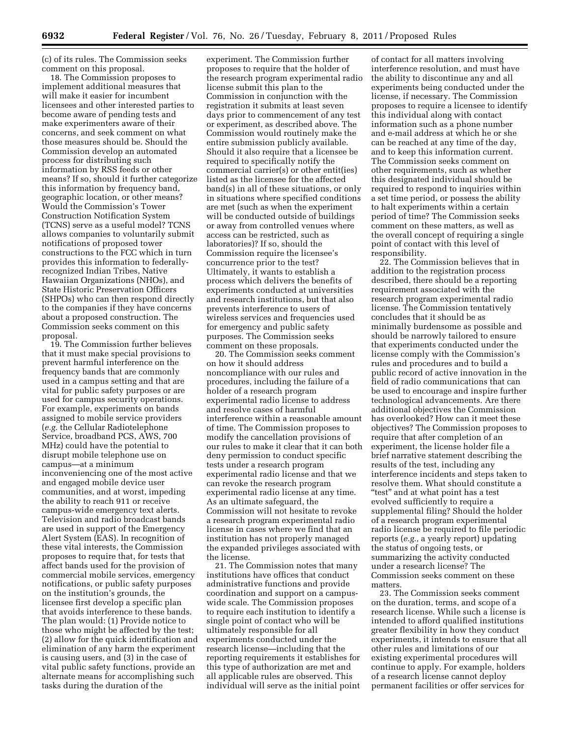(c) of its rules. The Commission seeks comment on this proposal.

18. The Commission proposes to implement additional measures that will make it easier for incumbent licensees and other interested parties to become aware of pending tests and make experimenters aware of their concerns, and seek comment on what those measures should be. Should the Commission develop an automated process for distributing such information by RSS feeds or other means? If so, should it further categorize this information by frequency band, geographic location, or other means? Would the Commission's Tower Construction Notification System (TCNS) serve as a useful model? TCNS allows companies to voluntarily submit notifications of proposed tower constructions to the FCC which in turn provides this information to federallyrecognized Indian Tribes, Native Hawaiian Organizations (NHOs), and State Historic Preservation Officers (SHPOs) who can then respond directly to the companies if they have concerns about a proposed construction. The Commission seeks comment on this proposal.

19. The Commission further believes that it must make special provisions to prevent harmful interference on the frequency bands that are commonly used in a campus setting and that are vital for public safety purposes or are used for campus security operations. For example, experiments on bands assigned to mobile service providers (*e.g.* the Cellular Radiotelephone Service, broadband PCS, AWS, 700 MHz) could have the potential to disrupt mobile telephone use on campus—at a minimum inconveniencing one of the most active and engaged mobile device user communities, and at worst, impeding the ability to reach 911 or receive campus-wide emergency text alerts. Television and radio broadcast bands are used in support of the Emergency Alert System (EAS). In recognition of these vital interests, the Commission proposes to require that, for tests that affect bands used for the provision of commercial mobile services, emergency notifications, or public safety purposes on the institution's grounds, the licensee first develop a specific plan that avoids interference to these bands. The plan would: (1) Provide notice to those who might be affected by the test; (2) allow for the quick identification and elimination of any harm the experiment is causing users, and (3) in the case of vital public safety functions, provide an alternate means for accomplishing such tasks during the duration of the

experiment. The Commission further proposes to require that the holder of the research program experimental radio license submit this plan to the Commission in conjunction with the registration it submits at least seven days prior to commencement of any test or experiment, as described above. The Commission would routinely make the entire submission publicly available. Should it also require that a licensee be required to specifically notify the commercial carrier(s) or other entit(ies) listed as the licensee for the affected band(s) in all of these situations, or only in situations where specified conditions are met (such as when the experiment will be conducted outside of buildings or away from controlled venues where access can be restricted, such as laboratories)? If so, should the Commission require the licensee's concurrence prior to the test? Ultimately, it wants to establish a process which delivers the benefits of experiments conducted at universities and research institutions, but that also prevents interference to users of wireless services and frequencies used for emergency and public safety purposes. The Commission seeks comment on these proposals.

20. The Commission seeks comment on how it should address noncompliance with our rules and procedures, including the failure of a holder of a research program experimental radio license to address and resolve cases of harmful interference within a reasonable amount of time. The Commission proposes to modify the cancellation provisions of our rules to make it clear that it can both deny permission to conduct specific tests under a research program experimental radio license and that we can revoke the research program experimental radio license at any time. As an ultimate safeguard, the Commission will not hesitate to revoke a research program experimental radio license in cases where we find that an institution has not properly managed the expanded privileges associated with the license.

21. The Commission notes that many institutions have offices that conduct administrative functions and provide coordination and support on a campuswide scale. The Commission proposes to require each institution to identify a single point of contact who will be ultimately responsible for all experiments conducted under the research license—including that the reporting requirements it establishes for this type of authorization are met and all applicable rules are observed. This individual will serve as the initial point

of contact for all matters involving interference resolution, and must have the ability to discontinue any and all experiments being conducted under the license, if necessary. The Commission proposes to require a licensee to identify this individual along with contact information such as a phone number and e-mail address at which he or she can be reached at any time of the day, and to keep this information current. The Commission seeks comment on other requirements, such as whether this designated individual should be required to respond to inquiries within a set time period, or possess the ability to halt experiments within a certain period of time? The Commission seeks comment on these matters, as well as the overall concept of requiring a single point of contact with this level of responsibility.

22. The Commission believes that in addition to the registration process described, there should be a reporting requirement associated with the research program experimental radio license. The Commission tentatively concludes that it should be as minimally burdensome as possible and should be narrowly tailored to ensure that experiments conducted under the license comply with the Commission's rules and procedures and to build a public record of active innovation in the field of radio communications that can be used to encourage and inspire further technological advancements. Are there additional objectives the Commission has overlooked? How can it meet these objectives? The Commission proposes to require that after completion of an experiment, the license holder file a brief narrative statement describing the results of the test, including any interference incidents and steps taken to resolve them. What should constitute a ''test'' and at what point has a test evolved sufficiently to require a supplemental filing? Should the holder of a research program experimental radio license be required to file periodic reports (*e.g.,* a yearly report) updating the status of ongoing tests, or summarizing the activity conducted under a research license? The Commission seeks comment on these matters.

23. The Commission seeks comment on the duration, terms, and scope of a research license. While such a license is intended to afford qualified institutions greater flexibility in how they conduct experiments, it intends to ensure that all other rules and limitations of our existing experimental procedures will continue to apply. For example, holders of a research license cannot deploy permanent facilities or offer services for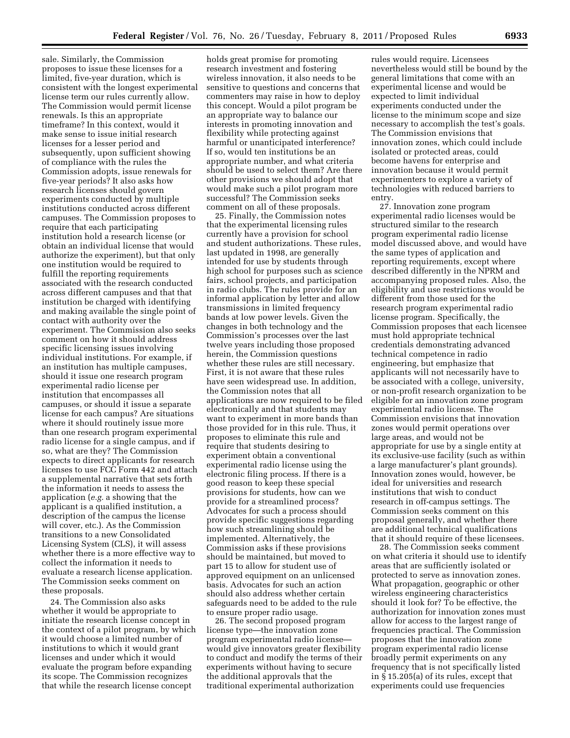sale. Similarly, the Commission proposes to issue these licenses for a limited, five-year duration, which is consistent with the longest experimental license term our rules currently allow. The Commission would permit license renewals. Is this an appropriate timeframe? In this context, would it make sense to issue initial research licenses for a lesser period and subsequently, upon sufficient showing of compliance with the rules the Commission adopts, issue renewals for five-year periods? It also asks how research licenses should govern experiments conducted by multiple institutions conducted across different campuses. The Commission proposes to require that each participating institution hold a research license (or obtain an individual license that would authorize the experiment), but that only one institution would be required to fulfill the reporting requirements associated with the research conducted across different campuses and that that institution be charged with identifying and making available the single point of contact with authority over the experiment. The Commission also seeks comment on how it should address specific licensing issues involving individual institutions. For example, if an institution has multiple campuses, should it issue one research program experimental radio license per institution that encompasses all campuses, or should it issue a separate license for each campus? Are situations where it should routinely issue more than one research program experimental radio license for a single campus, and if so, what are they? The Commission expects to direct applicants for research licenses to use FCC Form 442 and attach a supplemental narrative that sets forth the information it needs to assess the application (*e.g.* a showing that the applicant is a qualified institution, a description of the campus the license will cover, etc.). As the Commission transitions to a new Consolidated Licensing System (CLS), it will assess whether there is a more effective way to collect the information it needs to evaluate a research license application. The Commission seeks comment on these proposals.

24. The Commission also asks whether it would be appropriate to initiate the research license concept in the context of a pilot program, by which it would choose a limited number of institutions to which it would grant licenses and under which it would evaluate the program before expanding its scope. The Commission recognizes that while the research license concept

holds great promise for promoting research investment and fostering wireless innovation, it also needs to be sensitive to questions and concerns that commenters may raise in how to deploy this concept. Would a pilot program be an appropriate way to balance our interests in promoting innovation and flexibility while protecting against harmful or unanticipated interference? If so, would ten institutions be an appropriate number, and what criteria should be used to select them? Are there other provisions we should adopt that would make such a pilot program more successful? The Commission seeks comment on all of these proposals.

25. Finally, the Commission notes that the experimental licensing rules currently have a provision for school and student authorizations. These rules, last updated in 1998, are generally intended for use by students through high school for purposes such as science fairs, school projects, and participation in radio clubs. The rules provide for an informal application by letter and allow transmissions in limited frequency bands at low power levels. Given the changes in both technology and the Commission's processes over the last twelve years including those proposed herein, the Commission questions whether these rules are still necessary. First, it is not aware that these rules have seen widespread use. In addition, the Commission notes that all applications are now required to be filed electronically and that students may want to experiment in more bands than those provided for in this rule. Thus, it proposes to eliminate this rule and require that students desiring to experiment obtain a conventional experimental radio license using the electronic filing process. If there is a good reason to keep these special provisions for students, how can we provide for a streamlined process? Advocates for such a process should provide specific suggestions regarding how such streamlining should be implemented. Alternatively, the Commission asks if these provisions should be maintained, but moved to part 15 to allow for student use of approved equipment on an unlicensed basis. Advocates for such an action should also address whether certain safeguards need to be added to the rule to ensure proper radio usage.

26. The second proposed program license type—the innovation zone program experimental radio license would give innovators greater flexibility to conduct and modify the terms of their experiments without having to secure the additional approvals that the traditional experimental authorization

rules would require. Licensees nevertheless would still be bound by the general limitations that come with an experimental license and would be expected to limit individual experiments conducted under the license to the minimum scope and size necessary to accomplish the test's goals. The Commission envisions that innovation zones, which could include isolated or protected areas, could become havens for enterprise and innovation because it would permit experimenters to explore a variety of technologies with reduced barriers to entry.

27. Innovation zone program experimental radio licenses would be structured similar to the research program experimental radio license model discussed above, and would have the same types of application and reporting requirements, except where described differently in the NPRM and accompanying proposed rules. Also, the eligibility and use restrictions would be different from those used for the research program experimental radio license program. Specifically, the Commission proposes that each licensee must hold appropriate technical credentials demonstrating advanced technical competence in radio engineering, but emphasize that applicants will not necessarily have to be associated with a college, university, or non-profit research organization to be eligible for an innovation zone program experimental radio license. The Commission envisions that innovation zones would permit operations over large areas, and would not be appropriate for use by a single entity at its exclusive-use facility (such as within a large manufacturer's plant grounds). Innovation zones would, however, be ideal for universities and research institutions that wish to conduct research in off-campus settings. The Commission seeks comment on this proposal generally, and whether there are additional technical qualifications that it should require of these licensees.

28. The Commission seeks comment on what criteria it should use to identify areas that are sufficiently isolated or protected to serve as innovation zones. What propagation, geographic or other wireless engineering characteristics should it look for? To be effective, the authorization for innovation zones must allow for access to the largest range of frequencies practical. The Commission proposes that the innovation zone program experimental radio license broadly permit experiments on any frequency that is not specifically listed in § 15.205(a) of its rules, except that experiments could use frequencies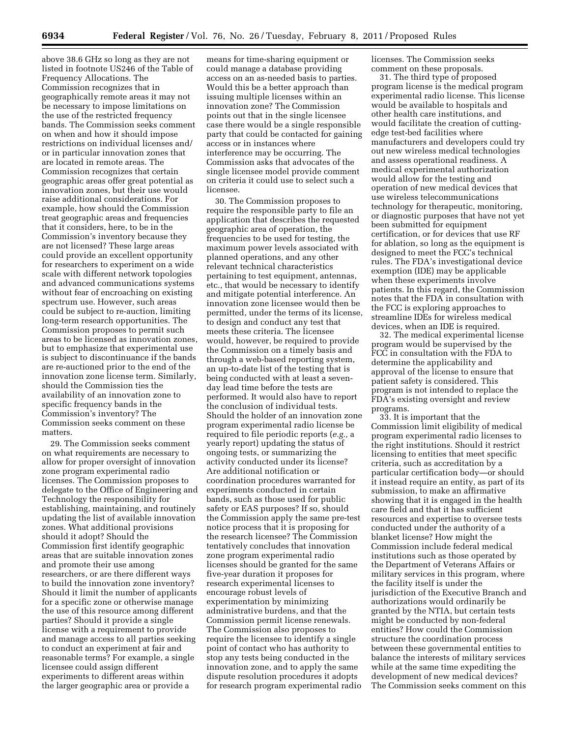above 38.6 GHz so long as they are not listed in footnote US246 of the Table of Frequency Allocations. The Commission recognizes that in geographically remote areas it may not be necessary to impose limitations on the use of the restricted frequency bands. The Commission seeks comment on when and how it should impose restrictions on individual licenses and/ or in particular innovation zones that are located in remote areas. The Commission recognizes that certain geographic areas offer great potential as innovation zones, but their use would raise additional considerations. For example, how should the Commission treat geographic areas and frequencies that it considers, here, to be in the Commission's inventory because they are not licensed? These large areas could provide an excellent opportunity for researchers to experiment on a wide scale with different network topologies and advanced communications systems without fear of encroaching on existing spectrum use. However, such areas could be subject to re-auction, limiting long-term research opportunities. The Commission proposes to permit such areas to be licensed as innovation zones, but to emphasize that experimental use is subject to discontinuance if the bands are re-auctioned prior to the end of the innovation zone license term. Similarly, should the Commission ties the availability of an innovation zone to specific frequency bands in the Commission's inventory? The Commission seeks comment on these matters.

29. The Commission seeks comment on what requirements are necessary to allow for proper oversight of innovation zone program experimental radio licenses. The Commission proposes to delegate to the Office of Engineering and Technology the responsibility for establishing, maintaining, and routinely updating the list of available innovation zones. What additional provisions should it adopt? Should the Commission first identify geographic areas that are suitable innovation zones and promote their use among researchers, or are there different ways to build the innovation zone inventory? Should it limit the number of applicants for a specific zone or otherwise manage the use of this resource among different parties? Should it provide a single license with a requirement to provide and manage access to all parties seeking to conduct an experiment at fair and reasonable terms? For example, a single licensee could assign different experiments to different areas within the larger geographic area or provide a

means for time-sharing equipment or could manage a database providing access on an as-needed basis to parties. Would this be a better approach than issuing multiple licenses within an innovation zone? The Commission points out that in the single licensee case there would be a single responsible party that could be contacted for gaining access or in instances where interference may be occurring. The Commission asks that advocates of the single licensee model provide comment on criteria it could use to select such a licensee.

30. The Commission proposes to require the responsible party to file an application that describes the requested geographic area of operation, the frequencies to be used for testing, the maximum power levels associated with planned operations, and any other relevant technical characteristics pertaining to test equipment, antennas, etc., that would be necessary to identify and mitigate potential interference. An innovation zone licensee would then be permitted, under the terms of its license, to design and conduct any test that meets these criteria. The licensee would, however, be required to provide the Commission on a timely basis and through a web-based reporting system, an up-to-date list of the testing that is being conducted with at least a sevenday lead time before the tests are performed. It would also have to report the conclusion of individual tests. Should the holder of an innovation zone program experimental radio license be required to file periodic reports (*e.g.,* a yearly report) updating the status of ongoing tests, or summarizing the activity conducted under its license? Are additional notification or coordination procedures warranted for experiments conducted in certain bands, such as those used for public safety or EAS purposes? If so, should the Commission apply the same pre-test notice process that it is proposing for the research licensee? The Commission tentatively concludes that innovation zone program experimental radio licenses should be granted for the same five-year duration it proposes for research experimental licenses to encourage robust levels of experimentation by minimizing administrative burdens, and that the Commission permit license renewals. The Commission also proposes to require the licensee to identify a single point of contact who has authority to stop any tests being conducted in the innovation zone, and to apply the same dispute resolution procedures it adopts for research program experimental radio

licenses. The Commission seeks comment on these proposals.

31. The third type of proposed program license is the medical program experimental radio license. This license would be available to hospitals and other health care institutions, and would facilitate the creation of cuttingedge test-bed facilities where manufacturers and developers could try out new wireless medical technologies and assess operational readiness. A medical experimental authorization would allow for the testing and operation of new medical devices that use wireless telecommunications technology for therapeutic, monitoring, or diagnostic purposes that have not yet been submitted for equipment certification, or for devices that use RF for ablation, so long as the equipment is designed to meet the FCC's technical rules. The FDA's investigational device exemption (IDE) may be applicable when these experiments involve patients. In this regard, the Commission notes that the FDA in consultation with the FCC is exploring approaches to streamline IDEs for wireless medical devices, when an IDE is required.

32. The medical experimental license program would be supervised by the FCC in consultation with the FDA to determine the applicability and approval of the license to ensure that patient safety is considered. This program is not intended to replace the FDA's existing oversight and review programs.

33. It is important that the Commission limit eligibility of medical program experimental radio licenses to the right institutions. Should it restrict licensing to entities that meet specific criteria, such as accreditation by a particular certification body—or should it instead require an entity, as part of its submission, to make an affirmative showing that it is engaged in the health care field and that it has sufficient resources and expertise to oversee tests conducted under the authority of a blanket license? How might the Commission include federal medical institutions such as those operated by the Department of Veterans Affairs or military services in this program, where the facility itself is under the jurisdiction of the Executive Branch and authorizations would ordinarily be granted by the NTIA, but certain tests might be conducted by non-federal entities? How could the Commission structure the coordination process between these governmental entities to balance the interests of military services while at the same time expediting the development of new medical devices? The Commission seeks comment on this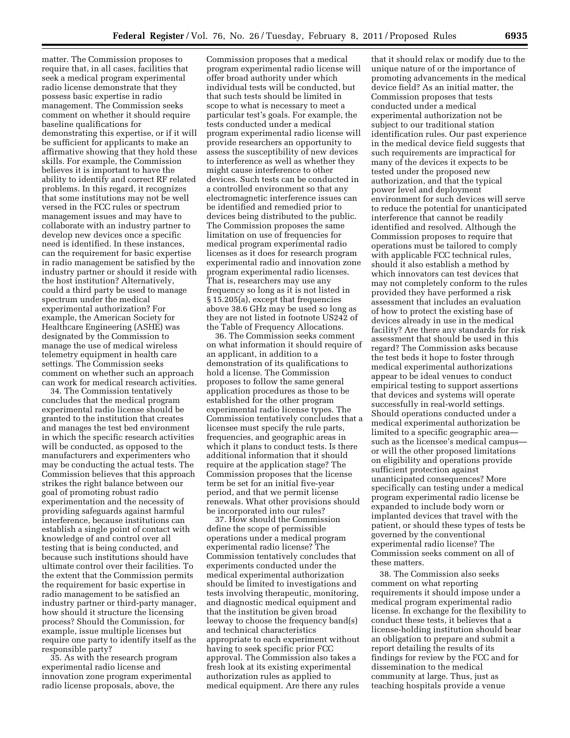matter. The Commission proposes to require that, in all cases, facilities that seek a medical program experimental radio license demonstrate that they possess basic expertise in radio management. The Commission seeks comment on whether it should require baseline qualifications for demonstrating this expertise, or if it will be sufficient for applicants to make an affirmative showing that they hold these skills. For example, the Commission believes it is important to have the ability to identify and correct RF related problems. In this regard, it recognizes that some institutions may not be well versed in the FCC rules or spectrum management issues and may have to collaborate with an industry partner to develop new devices once a specific need is identified. In these instances, can the requirement for basic expertise in radio management be satisfied by the industry partner or should it reside with the host institution? Alternatively, could a third party be used to manage spectrum under the medical experimental authorization? For example, the American Society for Healthcare Engineering (ASHE) was designated by the Commission to manage the use of medical wireless telemetry equipment in health care settings. The Commission seeks comment on whether such an approach can work for medical research activities.

34. The Commission tentatively concludes that the medical program experimental radio license should be granted to the institution that creates and manages the test bed environment in which the specific research activities will be conducted, as opposed to the manufacturers and experimenters who may be conducting the actual tests. The Commission believes that this approach strikes the right balance between our goal of promoting robust radio experimentation and the necessity of providing safeguards against harmful interference, because institutions can establish a single point of contact with knowledge of and control over all testing that is being conducted, and because such institutions should have ultimate control over their facilities. To the extent that the Commission permits the requirement for basic expertise in radio management to be satisfied an industry partner or third-party manager, how should it structure the licensing process? Should the Commission, for example, issue multiple licenses but require one party to identify itself as the responsible party?

35. As with the research program experimental radio license and innovation zone program experimental radio license proposals, above, the

Commission proposes that a medical program experimental radio license will offer broad authority under which individual tests will be conducted, but that such tests should be limited in scope to what is necessary to meet a particular test's goals. For example, the tests conducted under a medical program experimental radio license will provide researchers an opportunity to assess the susceptibility of new devices to interference as well as whether they might cause interference to other devices. Such tests can be conducted in a controlled environment so that any electromagnetic interference issues can be identified and remedied prior to devices being distributed to the public. The Commission proposes the same limitation on use of frequencies for medical program experimental radio licenses as it does for research program experimental radio and innovation zone program experimental radio licenses. That is, researchers may use any frequency so long as it is not listed in § 15.205(a), except that frequencies above 38.6 GHz may be used so long as they are not listed in footnote US242 of the Table of Frequency Allocations.

36. The Commission seeks comment on what information it should require of an applicant, in addition to a demonstration of its qualifications to hold a license. The Commission proposes to follow the same general application procedures as those to be established for the other program experimental radio license types. The Commission tentatively concludes that a licensee must specify the rule parts, frequencies, and geographic areas in which it plans to conduct tests. Is there additional information that it should require at the application stage? The Commission proposes that the license term be set for an initial five-year period, and that we permit license renewals. What other provisions should be incorporated into our rules?

37. How should the Commission define the scope of permissible operations under a medical program experimental radio license? The Commission tentatively concludes that experiments conducted under the medical experimental authorization should be limited to investigations and tests involving therapeutic, monitoring, and diagnostic medical equipment and that the institution be given broad leeway to choose the frequency band(s) and technical characteristics appropriate to each experiment without having to seek specific prior FCC approval. The Commission also takes a fresh look at its existing experimental authorization rules as applied to medical equipment. Are there any rules

that it should relax or modify due to the unique nature of or the importance of promoting advancements in the medical device field? As an initial matter, the Commission proposes that tests conducted under a medical experimental authorization not be subject to our traditional station identification rules. Our past experience in the medical device field suggests that such requirements are impractical for many of the devices it expects to be tested under the proposed new authorization, and that the typical power level and deployment environment for such devices will serve to reduce the potential for unanticipated interference that cannot be readily identified and resolved. Although the Commission proposes to require that operations must be tailored to comply with applicable FCC technical rules, should it also establish a method by which innovators can test devices that may not completely conform to the rules provided they have performed a risk assessment that includes an evaluation of how to protect the existing base of devices already in use in the medical facility? Are there any standards for risk assessment that should be used in this regard? The Commission asks because the test beds it hope to foster through medical experimental authorizations appear to be ideal venues to conduct empirical testing to support assertions that devices and systems will operate successfully in real-world settings. Should operations conducted under a medical experimental authorization be limited to a specific geographic area such as the licensee's medical campus or will the other proposed limitations on eligibility and operations provide sufficient protection against unanticipated consequences? More specifically can testing under a medical program experimental radio license be expanded to include body worn or implanted devices that travel with the patient, or should these types of tests be governed by the conventional experimental radio license? The Commission seeks comment on all of these matters.

38. The Commission also seeks comment on what reporting requirements it should impose under a medical program experimental radio license. In exchange for the flexibility to conduct these tests, it believes that a license-holding institution should bear an obligation to prepare and submit a report detailing the results of its findings for review by the FCC and for dissemination to the medical community at large. Thus, just as teaching hospitals provide a venue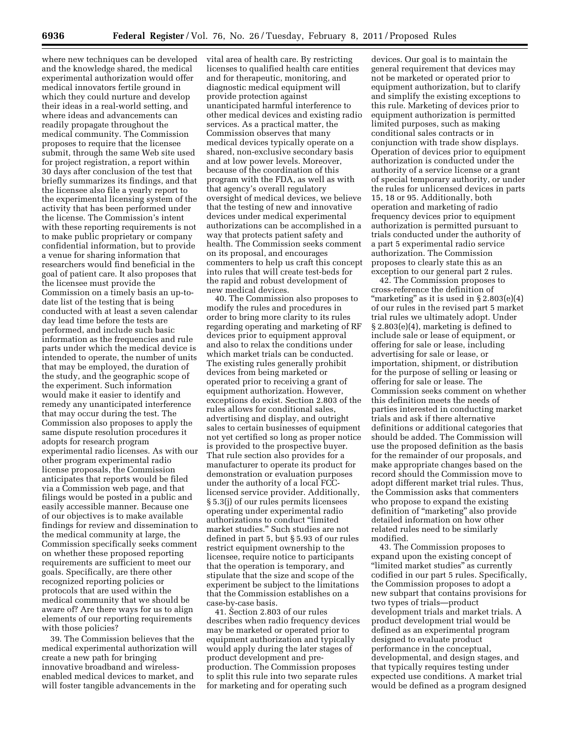where new techniques can be developed and the knowledge shared, the medical experimental authorization would offer medical innovators fertile ground in which they could nurture and develop their ideas in a real-world setting, and where ideas and advancements can readily propagate throughout the medical community. The Commission proposes to require that the licensee submit, through the same Web site used for project registration, a report within 30 days after conclusion of the test that briefly summarizes its findings, and that the licensee also file a yearly report to the experimental licensing system of the activity that has been performed under the license. The Commission's intent with these reporting requirements is not to make public proprietary or company confidential information, but to provide a venue for sharing information that researchers would find beneficial in the goal of patient care. It also proposes that the licensee must provide the Commission on a timely basis an up-todate list of the testing that is being conducted with at least a seven calendar day lead time before the tests are performed, and include such basic information as the frequencies and rule parts under which the medical device is intended to operate, the number of units that may be employed, the duration of the study, and the geographic scope of the experiment. Such information would make it easier to identify and remedy any unanticipated interference that may occur during the test. The Commission also proposes to apply the same dispute resolution procedures it adopts for research program experimental radio licenses. As with our other program experimental radio license proposals, the Commission anticipates that reports would be filed via a Commission web page, and that filings would be posted in a public and easily accessible manner. Because one of our objectives is to make available findings for review and dissemination to the medical community at large, the Commission specifically seeks comment on whether these proposed reporting requirements are sufficient to meet our goals. Specifically, are there other recognized reporting policies or protocols that are used within the medical community that we should be aware of? Are there ways for us to align elements of our reporting requirements with those policies?

39. The Commission believes that the medical experimental authorization will create a new path for bringing innovative broadband and wirelessenabled medical devices to market, and will foster tangible advancements in the

vital area of health care. By restricting licenses to qualified health care entities and for therapeutic, monitoring, and diagnostic medical equipment will provide protection against unanticipated harmful interference to other medical devices and existing radio services. As a practical matter, the Commission observes that many medical devices typically operate on a shared, non-exclusive secondary basis and at low power levels. Moreover, because of the coordination of this program with the FDA, as well as with that agency's overall regulatory oversight of medical devices, we believe that the testing of new and innovative devices under medical experimental authorizations can be accomplished in a way that protects patient safety and health. The Commission seeks comment on its proposal, and encourages commenters to help us craft this concept into rules that will create test-beds for the rapid and robust development of new medical devices.

40. The Commission also proposes to modify the rules and procedures in order to bring more clarity to its rules regarding operating and marketing of RF devices prior to equipment approval and also to relax the conditions under which market trials can be conducted. The existing rules generally prohibit devices from being marketed or operated prior to receiving a grant of equipment authorization. However, exceptions do exist. Section 2.803 of the rules allows for conditional sales, advertising and display, and outright sales to certain businesses of equipment not yet certified so long as proper notice is provided to the prospective buyer. That rule section also provides for a manufacturer to operate its product for demonstration or evaluation purposes under the authority of a local FCClicensed service provider. Additionally, § 5.3(j) of our rules permits licensees operating under experimental radio authorizations to conduct ''limited market studies.'' Such studies are not defined in part 5, but § 5.93 of our rules restrict equipment ownership to the licensee, require notice to participants that the operation is temporary, and stipulate that the size and scope of the experiment be subject to the limitations that the Commission establishes on a case-by-case basis.

41. Section 2.803 of our rules describes when radio frequency devices may be marketed or operated prior to equipment authorization and typically would apply during the later stages of product development and preproduction. The Commission proposes to split this rule into two separate rules for marketing and for operating such

devices. Our goal is to maintain the general requirement that devices may not be marketed or operated prior to equipment authorization, but to clarify and simplify the existing exceptions to this rule. Marketing of devices prior to equipment authorization is permitted limited purposes, such as making conditional sales contracts or in conjunction with trade show displays. Operation of devices prior to equipment authorization is conducted under the authority of a service license or a grant of special temporary authority, or under the rules for unlicensed devices in parts 15, 18 or 95. Additionally, both operation and marketing of radio frequency devices prior to equipment authorization is permitted pursuant to trials conducted under the authority of a part 5 experimental radio service authorization. The Commission proposes to clearly state this as an exception to our general part 2 rules.

42. The Commission proposes to cross-reference the definition of "marketing" as it is used in  $\S 2.803(e)(4)$ of our rules in the revised part 5 market trial rules we ultimately adopt. Under § 2.803(e)(4), marketing is defined to include sale or lease of equipment, or offering for sale or lease, including advertising for sale or lease, or importation, shipment, or distribution for the purpose of selling or leasing or offering for sale or lease. The Commission seeks comment on whether this definition meets the needs of parties interested in conducting market trials and ask if there alternative definitions or additional categories that should be added. The Commission will use the proposed definition as the basis for the remainder of our proposals, and make appropriate changes based on the record should the Commission move to adopt different market trial rules. Thus, the Commission asks that commenters who propose to expand the existing definition of ''marketing'' also provide detailed information on how other related rules need to be similarly modified.

43. The Commission proposes to expand upon the existing concept of "limited market studies" as currently codified in our part 5 rules. Specifically, the Commission proposes to adopt a new subpart that contains provisions for two types of trials—product development trials and market trials. A product development trial would be defined as an experimental program designed to evaluate product performance in the conceptual, developmental, and design stages, and that typically requires testing under expected use conditions. A market trial would be defined as a program designed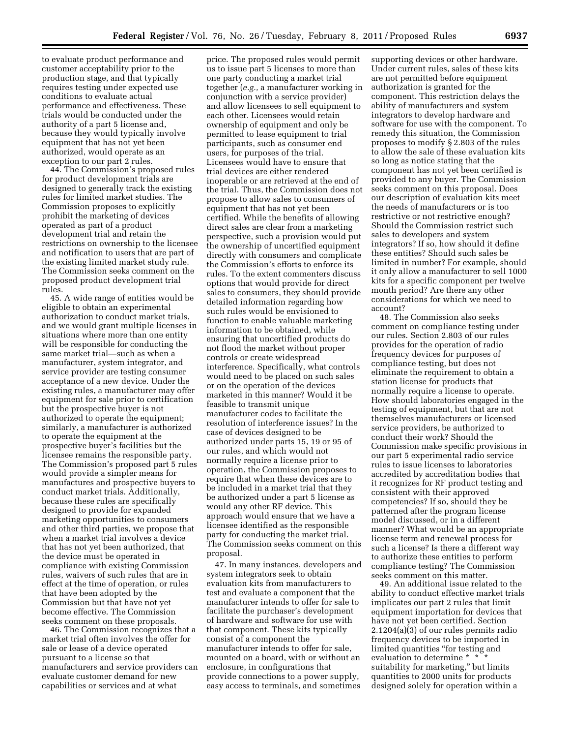to evaluate product performance and customer acceptability prior to the production stage, and that typically requires testing under expected use conditions to evaluate actual performance and effectiveness. These trials would be conducted under the authority of a part 5 license and, because they would typically involve equipment that has not yet been authorized, would operate as an exception to our part 2 rules.

44. The Commission's proposed rules for product development trials are designed to generally track the existing rules for limited market studies. The Commission proposes to explicitly prohibit the marketing of devices operated as part of a product development trial and retain the restrictions on ownership to the licensee and notification to users that are part of the existing limited market study rule. The Commission seeks comment on the proposed product development trial rules.

45. A wide range of entities would be eligible to obtain an experimental authorization to conduct market trials, and we would grant multiple licenses in situations where more than one entity will be responsible for conducting the same market trial—such as when a manufacturer, system integrator, and service provider are testing consumer acceptance of a new device. Under the existing rules, a manufacturer may offer equipment for sale prior to certification but the prospective buyer is not authorized to operate the equipment; similarly, a manufacturer is authorized to operate the equipment at the prospective buyer's facilities but the licensee remains the responsible party. The Commission's proposed part 5 rules would provide a simpler means for manufactures and prospective buyers to conduct market trials. Additionally, because these rules are specifically designed to provide for expanded marketing opportunities to consumers and other third parties, we propose that when a market trial involves a device that has not yet been authorized, that the device must be operated in compliance with existing Commission rules, waivers of such rules that are in effect at the time of operation, or rules that have been adopted by the Commission but that have not yet become effective. The Commission seeks comment on these proposals.

46. The Commission recognizes that a market trial often involves the offer for sale or lease of a device operated pursuant to a license so that manufacturers and service providers can evaluate customer demand for new capabilities or services and at what

price. The proposed rules would permit us to issue part 5 licenses to more than one party conducting a market trial together (*e.g.,* a manufacturer working in conjunction with a service provider) and allow licensees to sell equipment to each other. Licensees would retain ownership of equipment and only be permitted to lease equipment to trial participants, such as consumer end users, for purposes of the trial. Licensees would have to ensure that trial devices are either rendered inoperable or are retrieved at the end of the trial. Thus, the Commission does not propose to allow sales to consumers of equipment that has not yet been certified. While the benefits of allowing direct sales are clear from a marketing perspective, such a provision would put the ownership of uncertified equipment directly with consumers and complicate the Commission's efforts to enforce its rules. To the extent commenters discuss options that would provide for direct sales to consumers, they should provide detailed information regarding how such rules would be envisioned to function to enable valuable marketing information to be obtained, while ensuring that uncertified products do not flood the market without proper controls or create widespread interference. Specifically, what controls would need to be placed on such sales or on the operation of the devices marketed in this manner? Would it be feasible to transmit unique manufacturer codes to facilitate the resolution of interference issues? In the case of devices designed to be authorized under parts 15, 19 or 95 of our rules, and which would not normally require a license prior to operation, the Commission proposes to require that when these devices are to be included in a market trial that they be authorized under a part 5 license as would any other RF device. This approach would ensure that we have a licensee identified as the responsible party for conducting the market trial. The Commission seeks comment on this proposal.

47. In many instances, developers and system integrators seek to obtain evaluation kits from manufacturers to test and evaluate a component that the manufacturer intends to offer for sale to facilitate the purchaser's development of hardware and software for use with that component. These kits typically consist of a component the manufacturer intends to offer for sale, mounted on a board, with or without an enclosure, in configurations that provide connections to a power supply, easy access to terminals, and sometimes

supporting devices or other hardware. Under current rules, sales of these kits are not permitted before equipment authorization is granted for the component. This restriction delays the ability of manufacturers and system integrators to develop hardware and software for use with the component. To remedy this situation, the Commission proposes to modify § 2.803 of the rules to allow the sale of these evaluation kits so long as notice stating that the component has not yet been certified is provided to any buyer. The Commission seeks comment on this proposal. Does our description of evaluation kits meet the needs of manufacturers or is too restrictive or not restrictive enough? Should the Commission restrict such sales to developers and system integrators? If so, how should it define these entities? Should such sales be limited in number? For example, should it only allow a manufacturer to sell 1000 kits for a specific component per twelve month period? Are there any other considerations for which we need to account?

48. The Commission also seeks comment on compliance testing under our rules. Section 2.803 of our rules provides for the operation of radio frequency devices for purposes of compliance testing, but does not eliminate the requirement to obtain a station license for products that normally require a license to operate. How should laboratories engaged in the testing of equipment, but that are not themselves manufacturers or licensed service providers, be authorized to conduct their work? Should the Commission make specific provisions in our part 5 experimental radio service rules to issue licenses to laboratories accredited by accreditation bodies that it recognizes for RF product testing and consistent with their approved competencies? If so, should they be patterned after the program license model discussed, or in a different manner? What would be an appropriate license term and renewal process for such a license? Is there a different way to authorize these entities to perform compliance testing? The Commission seeks comment on this matter.

49. An additional issue related to the ability to conduct effective market trials implicates our part 2 rules that limit equipment importation for devices that have not yet been certified. Section 2.1204(a)(3) of our rules permits radio frequency devices to be imported in limited quantities "for testing and evaluation to determine \* \* \* suitability for marketing,'' but limits quantities to 2000 units for products designed solely for operation within a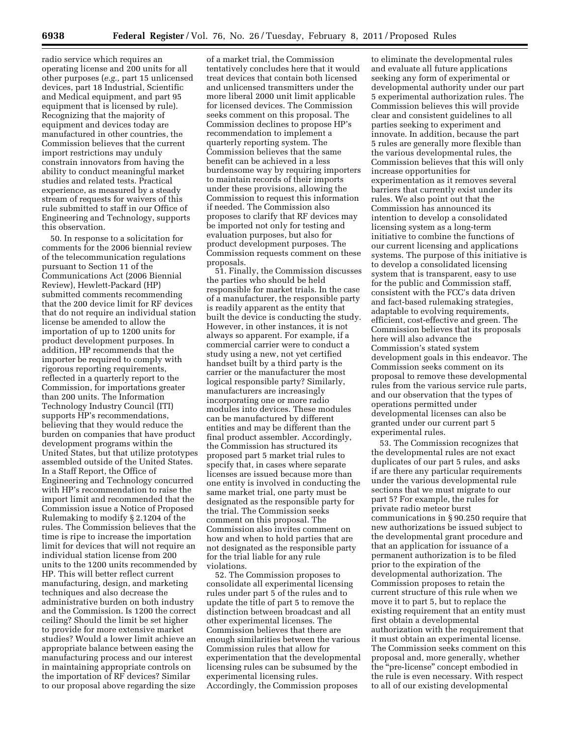radio service which requires an operating license and 200 units for all other purposes (*e.g.,* part 15 unlicensed devices, part 18 Industrial, Scientific and Medical equipment, and part 95 equipment that is licensed by rule). Recognizing that the majority of equipment and devices today are manufactured in other countries, the Commission believes that the current import restrictions may unduly constrain innovators from having the ability to conduct meaningful market studies and related tests. Practical experience, as measured by a steady stream of requests for waivers of this rule submitted to staff in our Office of Engineering and Technology, supports this observation.

50. In response to a solicitation for comments for the 2006 biennial review of the telecommunication regulations pursuant to Section 11 of the Communications Act (2006 Biennial Review), Hewlett-Packard (HP) submitted comments recommending that the 200 device limit for RF devices that do not require an individual station license be amended to allow the importation of up to 1200 units for product development purposes. In addition, HP recommends that the importer be required to comply with rigorous reporting requirements, reflected in a quarterly report to the Commission, for importations greater than 200 units. The Information Technology Industry Council (ITI) supports HP's recommendations, believing that they would reduce the burden on companies that have product development programs within the United States, but that utilize prototypes assembled outside of the United States. In a Staff Report, the Office of Engineering and Technology concurred with HP's recommendation to raise the import limit and recommended that the Commission issue a Notice of Proposed Rulemaking to modify § 2.1204 of the rules. The Commission believes that the time is ripe to increase the importation limit for devices that will not require an individual station license from 200 units to the 1200 units recommended by HP. This will better reflect current manufacturing, design, and marketing techniques and also decrease the administrative burden on both industry and the Commission. Is 1200 the correct ceiling? Should the limit be set higher to provide for more extensive market studies? Would a lower limit achieve an appropriate balance between easing the manufacturing process and our interest in maintaining appropriate controls on the importation of RF devices? Similar to our proposal above regarding the size

of a market trial, the Commission tentatively concludes here that it would treat devices that contain both licensed and unlicensed transmitters under the more liberal 2000 unit limit applicable for licensed devices. The Commission seeks comment on this proposal. The Commission declines to propose HP's recommendation to implement a quarterly reporting system. The Commission believes that the same benefit can be achieved in a less burdensome way by requiring importers to maintain records of their imports under these provisions, allowing the Commission to request this information if needed. The Commission also proposes to clarify that RF devices may be imported not only for testing and evaluation purposes, but also for product development purposes. The Commission requests comment on these proposals.

51. Finally, the Commission discusses the parties who should be held responsible for market trials. In the case of a manufacturer, the responsible party is readily apparent as the entity that built the device is conducting the study. However, in other instances, it is not always so apparent. For example, if a commercial carrier were to conduct a study using a new, not yet certified handset built by a third party is the carrier or the manufacturer the most logical responsible party? Similarly, manufacturers are increasingly incorporating one or more radio modules into devices. These modules can be manufactured by different entities and may be different than the final product assembler. Accordingly, the Commission has structured its proposed part 5 market trial rules to specify that, in cases where separate licenses are issued because more than one entity is involved in conducting the same market trial, one party must be designated as the responsible party for the trial. The Commission seeks comment on this proposal. The Commission also invites comment on how and when to hold parties that are not designated as the responsible party for the trial liable for any rule violations.

52. The Commission proposes to consolidate all experimental licensing rules under part 5 of the rules and to update the title of part 5 to remove the distinction between broadcast and all other experimental licenses. The Commission believes that there are enough similarities between the various Commission rules that allow for experimentation that the developmental licensing rules can be subsumed by the experimental licensing rules. Accordingly, the Commission proposes

to eliminate the developmental rules and evaluate all future applications seeking any form of experimental or developmental authority under our part 5 experimental authorization rules. The Commission believes this will provide clear and consistent guidelines to all parties seeking to experiment and innovate. In addition, because the part 5 rules are generally more flexible than the various developmental rules, the Commission believes that this will only increase opportunities for experimentation as it removes several barriers that currently exist under its rules. We also point out that the Commission has announced its intention to develop a consolidated licensing system as a long-term initiative to combine the functions of our current licensing and applications systems. The purpose of this initiative is to develop a consolidated licensing system that is transparent, easy to use for the public and Commission staff, consistent with the FCC's data driven and fact-based rulemaking strategies, adaptable to evolving requirements, efficient, cost-effective and green. The Commission believes that its proposals here will also advance the Commission's stated system development goals in this endeavor. The Commission seeks comment on its proposal to remove these developmental rules from the various service rule parts, and our observation that the types of operations permitted under developmental licenses can also be granted under our current part 5 experimental rules.

53. The Commission recognizes that the developmental rules are not exact duplicates of our part 5 rules, and asks if are there any particular requirements under the various developmental rule sections that we must migrate to our part 5? For example, the rules for private radio meteor burst communications in § 90.250 require that new authorizations be issued subject to the developmental grant procedure and that an application for issuance of a permanent authorization is to be filed prior to the expiration of the developmental authorization. The Commission proposes to retain the current structure of this rule when we move it to part 5, but to replace the existing requirement that an entity must first obtain a developmental authorization with the requirement that it must obtain an experimental license. The Commission seeks comment on this proposal and, more generally, whether the ''pre-license'' concept embodied in the rule is even necessary. With respect to all of our existing developmental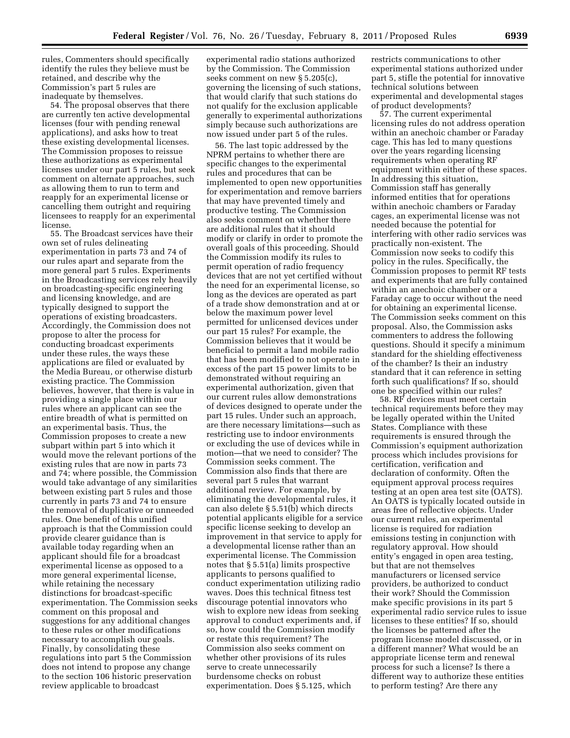rules, Commenters should specifically identify the rules they believe must be retained, and describe why the Commission's part 5 rules are inadequate by themselves.

54. The proposal observes that there are currently ten active developmental licenses (four with pending renewal applications), and asks how to treat these existing developmental licenses. The Commission proposes to reissue these authorizations as experimental licenses under our part 5 rules, but seek comment on alternate approaches, such as allowing them to run to term and reapply for an experimental license or cancelling them outright and requiring licensees to reapply for an experimental license.

55. The Broadcast services have their own set of rules delineating experimentation in parts 73 and 74 of our rules apart and separate from the more general part 5 rules. Experiments in the Broadcasting services rely heavily on broadcasting-specific engineering and licensing knowledge, and are typically designed to support the operations of existing broadcasters. Accordingly, the Commission does not propose to alter the process for conducting broadcast experiments under these rules, the ways these applications are filed or evaluated by the Media Bureau, or otherwise disturb existing practice. The Commission believes, however, that there is value in providing a single place within our rules where an applicant can see the entire breadth of what is permitted on an experimental basis. Thus, the Commission proposes to create a new subpart within part 5 into which it would move the relevant portions of the existing rules that are now in parts 73 and 74; where possible, the Commission would take advantage of any similarities between existing part 5 rules and those currently in parts 73 and 74 to ensure the removal of duplicative or unneeded rules. One benefit of this unified approach is that the Commission could provide clearer guidance than is available today regarding when an applicant should file for a broadcast experimental license as opposed to a more general experimental license, while retaining the necessary distinctions for broadcast-specific experimentation. The Commission seeks comment on this proposal and suggestions for any additional changes to these rules or other modifications necessary to accomplish our goals. Finally, by consolidating these regulations into part 5 the Commission does not intend to propose any change to the section 106 historic preservation review applicable to broadcast

experimental radio stations authorized by the Commission. The Commission seeks comment on new § 5.205(c), governing the licensing of such stations, that would clarify that such stations do not qualify for the exclusion applicable generally to experimental authorizations simply because such authorizations are now issued under part 5 of the rules.

56. The last topic addressed by the NPRM pertains to whether there are specific changes to the experimental rules and procedures that can be implemented to open new opportunities for experimentation and remove barriers that may have prevented timely and productive testing. The Commission also seeks comment on whether there are additional rules that it should modify or clarify in order to promote the overall goals of this proceeding. Should the Commission modify its rules to permit operation of radio frequency devices that are not yet certified without the need for an experimental license, so long as the devices are operated as part of a trade show demonstration and at or below the maximum power level permitted for unlicensed devices under our part 15 rules? For example, the Commission believes that it would be beneficial to permit a land mobile radio that has been modified to not operate in excess of the part 15 power limits to be demonstrated without requiring an experimental authorization, given that our current rules allow demonstrations of devices designed to operate under the part 15 rules. Under such an approach, are there necessary limitations—such as restricting use to indoor environments or excluding the use of devices while in motion—that we need to consider? The Commission seeks comment. The Commission also finds that there are several part 5 rules that warrant additional review. For example, by eliminating the developmental rules, it can also delete § 5.51(b) which directs potential applicants eligible for a service specific license seeking to develop an improvement in that service to apply for a developmental license rather than an experimental license. The Commission notes that § 5.51(a) limits prospective applicants to persons qualified to conduct experimentation utilizing radio waves. Does this technical fitness test discourage potential innovators who wish to explore new ideas from seeking approval to conduct experiments and, if so, how could the Commission modify or restate this requirement? The Commission also seeks comment on whether other provisions of its rules serve to create unnecessarily burdensome checks on robust experimentation. Does § 5.125, which

restricts communications to other experimental stations authorized under part 5, stifle the potential for innovative technical solutions between experimental and developmental stages of product developments?

57. The current experimental licensing rules do not address operation within an anechoic chamber or Faraday cage. This has led to many questions over the years regarding licensing requirements when operating RF equipment within either of these spaces. In addressing this situation, Commission staff has generally informed entities that for operations within anechoic chambers or Faraday cages, an experimental license was not needed because the potential for interfering with other radio services was practically non-existent. The Commission now seeks to codify this policy in the rules. Specifically, the Commission proposes to permit RF tests and experiments that are fully contained within an anechoic chamber or a Faraday cage to occur without the need for obtaining an experimental license. The Commission seeks comment on this proposal. Also, the Commission asks commenters to address the following questions. Should it specify a minimum standard for the shielding effectiveness of the chamber? Is their an industry standard that it can reference in setting forth such qualifications? If so, should one be specified within our rules?

58. RF devices must meet certain technical requirements before they may be legally operated within the United States. Compliance with these requirements is ensured through the Commission's equipment authorization process which includes provisions for certification, verification and declaration of conformity. Often the equipment approval process requires testing at an open area test site (OATS). An OATS is typically located outside in areas free of reflective objects. Under our current rules, an experimental license is required for radiation emissions testing in conjunction with regulatory approval. How should entity's engaged in open area testing, but that are not themselves manufacturers or licensed service providers, be authorized to conduct their work? Should the Commission make specific provisions in its part 5 experimental radio service rules to issue licenses to these entities? If so, should the licenses be patterned after the program license model discussed, or in a different manner? What would be an appropriate license term and renewal process for such a license? Is there a different way to authorize these entities to perform testing? Are there any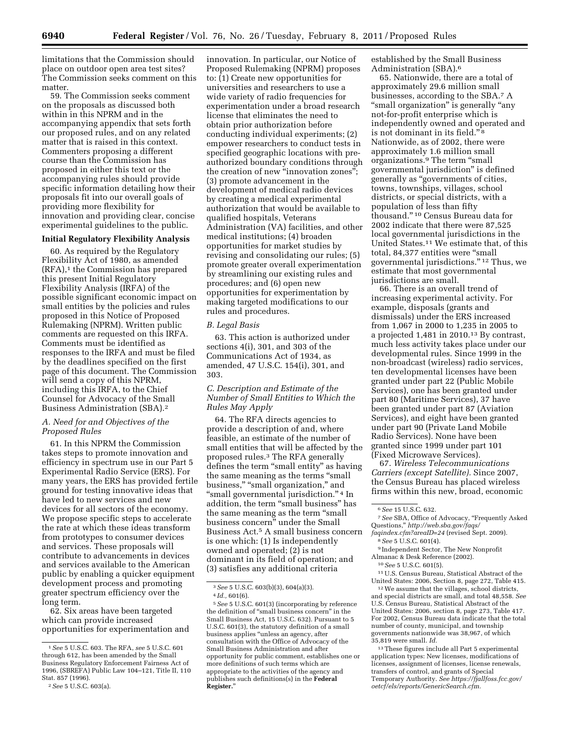limitations that the Commission should place on outdoor open area test sites? The Commission seeks comment on this matter.

59. The Commission seeks comment on the proposals as discussed both within in this NPRM and in the accompanying appendix that sets forth our proposed rules, and on any related matter that is raised in this context. Commenters proposing a different course than the Commission has proposed in either this text or the accompanying rules should provide specific information detailing how their proposals fit into our overall goals of providing more flexibility for innovation and providing clear, concise experimental guidelines to the public.

# **Initial Regulatory Flexibility Analysis**

60. As required by the Regulatory Flexibility Act of 1980, as amended  $(RFA)<sup>1</sup>$  the Commission has prepared this present Initial Regulatory Flexibility Analysis (IRFA) of the possible significant economic impact on small entities by the policies and rules proposed in this Notice of Proposed Rulemaking (NPRM). Written public comments are requested on this IRFA. Comments must be identified as responses to the IRFA and must be filed by the deadlines specified on the first page of this document. The Commission will send a copy of this NPRM, including this IRFA, to the Chief Counsel for Advocacy of the Small Business Administration (SBA).2

# *A. Need for and Objectives of the Proposed Rules*

61. In this NPRM the Commission takes steps to promote innovation and efficiency in spectrum use in our Part 5 Experimental Radio Service (ERS). For many years, the ERS has provided fertile ground for testing innovative ideas that have led to new services and new devices for all sectors of the economy. We propose specific steps to accelerate the rate at which these ideas transform from prototypes to consumer devices and services. These proposals will contribute to advancements in devices and services available to the American public by enabling a quicker equipment development process and promoting greater spectrum efficiency over the long term.

62. Six areas have been targeted which can provide increased opportunities for experimentation and innovation. In particular, our Notice of Proposed Rulemaking (NPRM) proposes to: (1) Create new opportunities for universities and researchers to use a wide variety of radio frequencies for experimentation under a broad research license that eliminates the need to obtain prior authorization before conducting individual experiments; (2) empower researchers to conduct tests in specified geographic locations with preauthorized boundary conditions through the creation of new "innovation zones"; (3) promote advancement in the development of medical radio devices by creating a medical experimental authorization that would be available to qualified hospitals, Veterans Administration (VA) facilities, and other medical institutions; (4) broaden opportunities for market studies by revising and consolidating our rules; (5) promote greater overall experimentation by streamlining our existing rules and procedures; and (6) open new opportunities for experimentation by making targeted modifications to our rules and procedures.

# *B. Legal Basis*

63. This action is authorized under sections 4(i), 301, and 303 of the Communications Act of 1934, as amended, 47 U.S.C. 154(i), 301, and 303.

*C. Description and Estimate of the Number of Small Entities to Which the Rules May Apply* 

64. The RFA directs agencies to provide a description of and, where feasible, an estimate of the number of small entities that will be affected by the proposed rules.3 The RFA generally defines the term ''small entity'' as having the same meaning as the terms ''small business," "small organization," and "small governmental jurisdiction."<sup>4</sup> In addition, the term ''small business'' has the same meaning as the term ''small business concern'' under the Small Business Act.5 A small business concern is one which: (1) Is independently owned and operated; (2) is not dominant in its field of operation; and (3) satisfies any additional criteria

established by the Small Business Administration (SBA).6

65. Nationwide, there are a total of approximately 29.6 million small businesses, according to the SBA.7 A ''small organization'' is generally ''any not-for-profit enterprise which is independently owned and operated and is not dominant in its field."<sup>8</sup> Nationwide, as of 2002, there were approximately 1.6 million small organizations.<sup>9</sup> The term "small governmental jurisdiction'' is defined generally as ''governments of cities, towns, townships, villages, school districts, or special districts, with a population of less than fifty thousand.'' 10 Census Bureau data for 2002 indicate that there were 87,525 local governmental jurisdictions in the United States.11 We estimate that, of this total, 84,377 entities were ''small governmental jurisdictions.'' 12 Thus, we estimate that most governmental jurisdictions are small.

66. There is an overall trend of increasing experimental activity. For example, disposals (grants and dismissals) under the ERS increased from 1,067 in 2000 to 1,235 in 2005 to a projected 1,481 in 2010.13 By contrast, much less activity takes place under our developmental rules. Since 1999 in the non-broadcast (wireless) radio services, ten developmental licenses have been granted under part 22 (Public Mobile Services), one has been granted under part 80 (Maritime Services), 37 have been granted under part 87 (Aviation Services), and eight have been granted under part 90 (Private Land Mobile Radio Services). None have been granted since 1999 under part 101 (Fixed Microwave Services).

67. *Wireless Telecommunications Carriers (except Satellite).* Since 2007, the Census Bureau has placed wireless firms within this new, broad, economic

9 Independent Sector, The New Nonprofit Almanac & Desk Reference (2002).

11U.S. Census Bureau, Statistical Abstract of the United States: 2006, Section 8, page 272, Table 415.

12We assume that the villages, school districts, and special districts are small, and total 48,558. *See*  U.S. Census Bureau, Statistical Abstract of the United States: 2006, section 8, page 273, Table 417. For 2002, Census Bureau data indicate that the total number of county, municipal, and township governments nationwide was 38,967, of which 35,819 were small. *Id.* 

13These figures include all Part 5 experimental application types: New licenses, modifications of licenses, assignment of licenses, license renewals, transfers of control, and grants of Special Temporary Authority. *See [https://fjallfoss.fcc.gov/](https://fjallfoss.fcc.gov/oetcf/els/reports/GenericSearch.cfm)  [oetcf/els/reports/GenericSearch.cfm.](https://fjallfoss.fcc.gov/oetcf/els/reports/GenericSearch.cfm)* 

<sup>1</sup>*See* 5 U.S.C. 603. The RFA, *see* 5 U.S.C. 601 through 612, has been amended by the Small Business Regulatory Enforcement Fairness Act of 1996, (SBREFA) Public Law 104–121, Title II, 110 Stat. 857 (1996).

<sup>2</sup>*See* 5 U.S.C. 603(a).

<sup>3</sup>*See* 5 U.S.C. 603(b)(3), 604(a)(3).

<sup>4</sup> *Id.,* 601(6).

<sup>5</sup>*See* 5 U.S.C. 601(3) (incorporating by reference the definition of ''small business concern'' in the Small Business Act, 15 U.S.C. 632). Pursuant to 5 U.S.C. 601(3), the statutory definition of a small business applies ''unless an agency, after consultation with the Office of Advocacy of the Small Business Administration and after opportunity for public comment, establishes one or more definitions of such terms which are appropriate to the activities of the agency and publishes such definitions(s) in the **Federal Register.**''

<sup>6</sup>*See* 15 U.S.C. 632.

<sup>7</sup>*See* SBA, Office of Advocacy, ''Frequently Asked Questions,'' *[http://web.sba.gov/faqs/](http://web.sba.gov/faqs/faqindex.cfm?areaID=24)* 

*[faqindex.cfm?areaID=24](http://web.sba.gov/faqs/faqindex.cfm?areaID=24)* (revised Sept. 2009).

<sup>8</sup>*See* 5 U.S.C. 601(4).

<sup>10</sup>*See* 5 U.S.C. 601(5).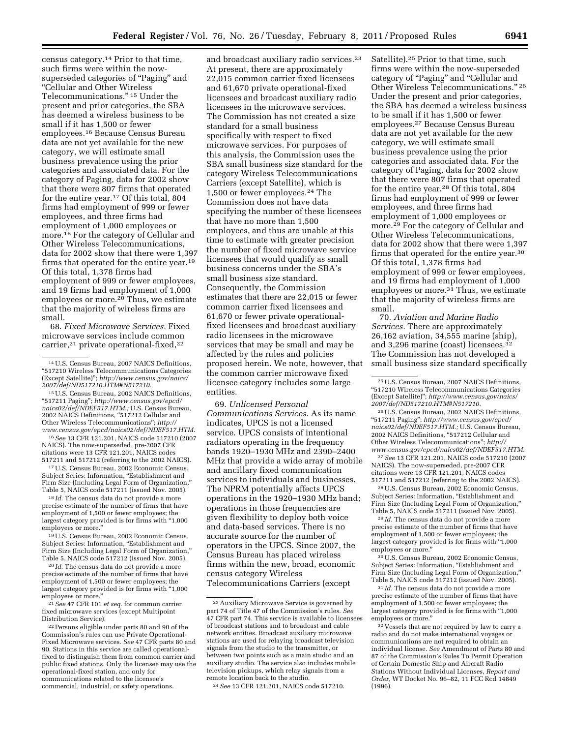census category.14 Prior to that time, such firms were within the nowsuperseded categories of ''Paging'' and ''Cellular and Other Wireless Telecommunications.'' 15 Under the present and prior categories, the SBA has deemed a wireless business to be small if it has 1,500 or fewer employees.16 Because Census Bureau data are not yet available for the new category, we will estimate small business prevalence using the prior categories and associated data. For the category of Paging, data for 2002 show that there were 807 firms that operated for the entire year.<sup>17</sup> Of this total, 804 firms had employment of 999 or fewer employees, and three firms had employment of 1,000 employees or more.18 For the category of Cellular and Other Wireless Telecommunications, data for 2002 show that there were 1,397 firms that operated for the entire year.19 Of this total, 1,378 firms had employment of 999 or fewer employees, and 19 firms had employment of 1,000 employees or more.<sup>20</sup> Thus, we estimate that the majority of wireless firms are small.

68. *Fixed Microwave Services.* Fixed microwave services include common carrier,<sup>21</sup> private operational-fixed,<sup>22</sup>

15U.S. Census Bureau, 2002 NAICS Definitions, ''517211 Paging''; *[http://www.census.gov/epcd/](http://www.census.gov/epcd/naics02/def/NDEF517.HTM) [naics02/def/NDEF517.HTM.;](http://www.census.gov/epcd/naics02/def/NDEF517.HTM)* U.S. Census Bureau, 2002 NAICS Definitions, ''517212 Cellular and Other Wireless Telecommunications''; *[http://](http://www.census.gov/epcd/naics02/def/NDEF517.HTM)  [www.census.gov/epcd/naics02/def/NDEF517.HTM.](http://www.census.gov/epcd/naics02/def/NDEF517.HTM)* 

16*See* 13 CFR 121.201, NAICS code 517210 (2007 NAICS). The now-superseded, pre-2007 CFR citations were 13 CFR 121.201, NAICS codes

517211 and 517212 (referring to the 2002 NAICS). 17U.S. Census Bureau, 2002 Economic Census, Subject Series: Information, ''Establishment and Firm Size (Including Legal Form of Organization,'' Table 5, NAICS code 517211 (issued Nov. 2005).

18 *Id.* The census data do not provide a more precise estimate of the number of firms that have employment of 1,500 or fewer employees; the largest category provided is for firms with ''1,000 employees or more.''

19U.S. Census Bureau, 2002 Economic Census, Subject Series: Information, "Establishment and Firm Size (Including Legal Form of Organization,'' Table 5, NAICS code 517212 (issued Nov. 2005).

20 *Id.* The census data do not provide a more precise estimate of the number of firms that have employment of 1,500 or fewer employees; the largest category provided is for firms with ''1,000 employees or more.''

21*See* 47 CFR 101 *et seq.* for common carrier fixed microwave services (except Multipoint Distribution Service).

22Persons eligible under parts 80 and 90 of the Commission's rules can use Private Operational-Fixed Microwave services. *See* 47 CFR parts 80 and 90. Stations in this service are called operationalfixed to distinguish them from common carrier and public fixed stations. Only the licensee may use the operational-fixed station, and only for communications related to the licensee's commercial, industrial, or safety operations.

and broadcast auxiliary radio services.<sup>23</sup> At present, there are approximately 22,015 common carrier fixed licensees and 61,670 private operational-fixed licensees and broadcast auxiliary radio licensees in the microwave services. The Commission has not created a size standard for a small business specifically with respect to fixed microwave services. For purposes of this analysis, the Commission uses the SBA small business size standard for the category Wireless Telecommunications Carriers (except Satellite), which is 1,500 or fewer employees.24 The Commission does not have data specifying the number of these licensees that have no more than 1,500 employees, and thus are unable at this time to estimate with greater precision the number of fixed microwave service licensees that would qualify as small business concerns under the SBA's small business size standard. Consequently, the Commission estimates that there are 22,015 or fewer common carrier fixed licensees and 61,670 or fewer private operationalfixed licensees and broadcast auxiliary radio licensees in the microwave services that may be small and may be affected by the rules and policies proposed herein. We note, however, that the common carrier microwave fixed licensee category includes some large entities.

69. *Unlicensed Personal Communications Services.* As its name indicates, UPCS is not a licensed service. UPCS consists of intentional radiators operating in the frequency bands 1920–1930 MHz and 2390–2400 MHz that provide a wide array of mobile and ancillary fixed communication services to individuals and businesses. The NPRM potentially affects UPCS operations in the 1920–1930 MHz band; operations in those frequencies are given flexibility to deploy both voice and data-based services. There is no accurate source for the number of operators in the UPCS. Since 2007, the Census Bureau has placed wireless firms within the new, broad, economic census category Wireless Telecommunications Carriers (except

Satellite).25 Prior to that time, such firms were within the now-superseded category of ''Paging'' and ''Cellular and Other Wireless Telecommunications." 26 Under the present and prior categories, the SBA has deemed a wireless business to be small if it has 1,500 or fewer employees.27 Because Census Bureau data are not yet available for the new category, we will estimate small business prevalence using the prior categories and associated data. For the category of Paging, data for 2002 show that there were 807 firms that operated for the entire year.28 Of this total, 804 firms had employment of 999 or fewer employees, and three firms had employment of 1,000 employees or more.29 For the category of Cellular and Other Wireless Telecommunications, data for 2002 show that there were 1,397 firms that operated for the entire year.30 Of this total, 1,378 firms had employment of 999 or fewer employees, and 19 firms had employment of 1,000 employees or more.<sup>31</sup> Thus, we estimate that the majority of wireless firms are small.

70. *Aviation and Marine Radio Services.* There are approximately 26,162 aviation, 34,555 marine (ship), and 3,296 marine (coast) licensees.<sup>3</sup> The Commission has not developed a small business size standard specifically

27*See* 13 CFR 121.201, NAICS code 517210 (2007 NAICS). The now-superseded, pre-2007 CFR citations were 13 CFR 121.201, NAICS codes 517211 and 517212 (referring to the 2002 NAICS).

28U.S. Census Bureau, 2002 Economic Census, Subject Series: Information, "Establishment and Firm Size (Including Legal Form of Organization,'' Table 5, NAICS code 517211 (issued Nov. 2005).

29 *Id.* The census data do not provide a more precise estimate of the number of firms that have employment of 1,500 or fewer employees; the largest category provided is for firms with ''1,000 employees or more.''

30U.S. Census Bureau, 2002 Economic Census, Subject Series: Information, "Establishment and Firm Size (Including Legal Form of Organization,'' Table 5, NAICS code 517212 (issued Nov. 2005).

31 *Id.* The census data do not provide a more precise estimate of the number of firms that have employment of 1,500 or fewer employees; the largest category provided is for firms with "1,000 employees or more.''

<sup>14</sup>U.S. Census Bureau, 2007 NAICS Definitions, ''517210 Wireless Telecommunications Categories (Except Satellite)''; *[http://www.census.gov/naics/](http://www.census.gov/naics/2007/def/ND517210.HTM#N517210) [2007/def/ND517210.HTM#N517210.](http://www.census.gov/naics/2007/def/ND517210.HTM#N517210)* 

<sup>23</sup>Auxiliary Microwave Service is governed by part 74 of Title 47 of the Commission's rules. *See*  47 CFR part 74. This service is available to licensees of broadcast stations and to broadcast and cable network entities. Broadcast auxiliary microwave stations are used for relaying broadcast television signals from the studio to the transmitter, or between two points such as a main studio and an auxiliary studio. The service also includes mobile television pickups, which relay signals from a remote location back to the studio.

<sup>24</sup>*See* 13 CFR 121.201, NAICS code 517210.

<sup>25</sup>U.S. Census Bureau, 2007 NAICS Definitions, ''517210 Wireless Telecommunications Categories (Except Satellite)''; *[http://www.census.gov/naics/](http://www.census.gov/naics/2007/def/ND517210.HTM#N517210) [2007/def/ND517210.HTM#N517210.](http://www.census.gov/naics/2007/def/ND517210.HTM#N517210)* 

<sup>26</sup>U.S. Census Bureau, 2002 NAICS Definitions, ''517211 Paging''; *[http://www.census.gov/epcd/](http://www.census.gov/epcd/naics02/def/NDEF517.HTM) [naics02/def/NDEF517.HTM.;](http://www.census.gov/epcd/naics02/def/NDEF517.HTM)* U.S. Census Bureau, 2002 NAICS Definitions, ''517212 Cellular and Other Wireless Telecommunications''; *[http://](http://www.census.gov/epcd/naics02/def/NDEF517.HTM)  [www.census.gov/epcd/naics02/def/NDEF517.HTM.](http://www.census.gov/epcd/naics02/def/NDEF517.HTM)* 

<sup>&</sup>lt;sup>32</sup> Vessels that are not required by law to carry a radio and do not make international voyages or communications are not required to obtain an individual license. *See* Amendment of Parts 80 and 87 of the Commission's Rules To Permit Operation of Certain Domestic Ship and Aircraft Radio Stations Without Individual Licenses, *Report and Order,* WT Docket No. 96–82, 11 FCC Rcd 14849 (1996).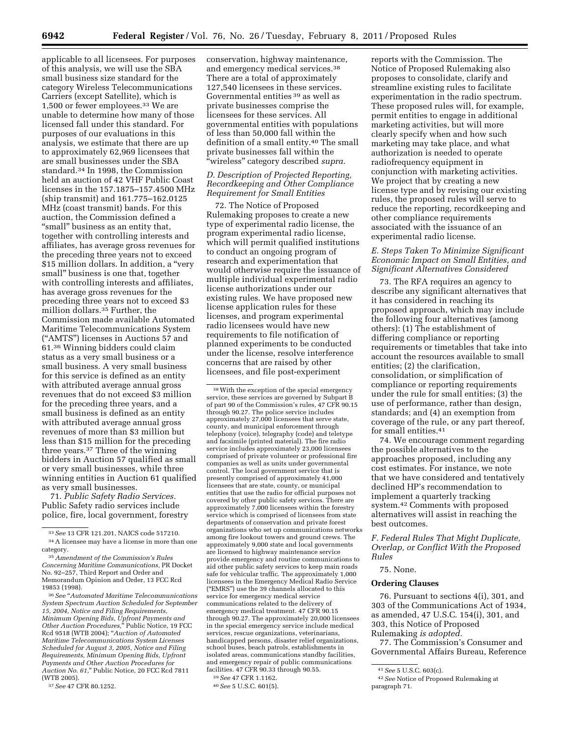applicable to all licensees. For purposes of this analysis, we will use the SBA small business size standard for the category Wireless Telecommunications Carriers (except Satellite), which is 1,500 or fewer employees.33 We are unable to determine how many of those licensed fall under this standard. For purposes of our evaluations in this analysis, we estimate that there are up to approximately 62,969 licensees that are small businesses under the SBA standard.34 In 1998, the Commission held an auction of 42 VHF Public Coast licenses in the 157.1875–157.4500 MHz (ship transmit) and 161.775–162.0125 MHz (coast transmit) bands. For this auction, the Commission defined a "small" business as an entity that, together with controlling interests and affiliates, has average gross revenues for the preceding three years not to exceed \$15 million dollars. In addition, a "very small'' business is one that, together with controlling interests and affiliates, has average gross revenues for the preceding three years not to exceed \$3 million dollars.<sup>35</sup> Further, the Commission made available Automated Maritime Telecommunications System (''AMTS'') licenses in Auctions 57 and 61.36 Winning bidders could claim status as a very small business or a small business. A very small business for this service is defined as an entity with attributed average annual gross revenues that do not exceed \$3 million for the preceding three years, and a small business is defined as an entity with attributed average annual gross revenues of more than \$3 million but less than \$15 million for the preceding three years.37 Three of the winning bidders in Auction 57 qualified as small or very small businesses, while three winning entities in Auction 61 qualified as very small businesses.

71. *Public Safety Radio Services.*  Public Safety radio services include police, fire, local government, forestry

36*See* ''*Automated Maritime Telecommunications System Spectrum Auction Scheduled for September 15, 2004, Notice and Filing Requirements, Minimum Opening Bids, Upfront Payments and Other Auction Procedures,*'' Public Notice, 19 FCC Rcd 9518 (WTB 2004); ''*Auction of Automated Maritime Telecommunications System Licenses Scheduled for August 3, 2005, Notice and Filing Requirements, Minimum Opening Bids, Upfront Payments and Other Auction Procedures for Auction No. 61,*'' Public Notice, 20 FCC Rcd 7811 (WTB 2005).

37*See* 47 CFR 80.1252.

conservation, highway maintenance, and emergency medical services.38 There are a total of approximately 127,540 licensees in these services. Governmental entities 39 as well as private businesses comprise the licensees for these services. All governmental entities with populations of less than 50,000 fall within the definition of a small entity.40 The small private businesses fall within the ''wireless'' category described *supra.* 

# *D. Description of Projected Reporting, Recordkeeping and Other Compliance Requirement for Small Entities*

72. The Notice of Proposed Rulemaking proposes to create a new type of experimental radio license, the program experimental radio license, which will permit qualified institutions to conduct an ongoing program of research and experimentation that would otherwise require the issuance of multiple individual experimental radio license authorizations under our existing rules. We have proposed new license application rules for these licenses, and program experimental radio licensees would have new requirements to file notification of planned experiments to be conducted under the license, resolve interference concerns that are raised by other licensees, and file post-experiment

38With the exception of the special emergency service, these services are governed by Subpart B of part 90 of the Commission's rules, 47 CFR 90.15 through 90.27. The police service includes approximately 27,000 licensees that serve state, county, and municipal enforcement through telephony (voice), telegraphy (code) and teletype and facsimile (printed material). The fire radio service includes approximately 23,000 licensees comprised of private volunteer or professional fire companies as well as units under governmental control. The local government service that is presently comprised of approximately 41,000 licensees that are state, county, or municipal entities that use the radio for official purposes not covered by other public safety services. There are approximately 7,000 licensees within the forestry service which is comprised of licensees from state departments of conservation and private forest organizations who set up communications networks among fire lookout towers and ground crews. The approximately 9,000 state and local governments are licensed to highway maintenance service provide emergency and routine communications to aid other public safety services to keep main roads safe for vehicular traffic. The approximately 1,000 licensees in the Emergency Medical Radio Service ("EMRS") use the 39 channels allocated to this service for emergency medical service communications related to the delivery of emergency medical treatment. 47 CFR 90.15 through 90.27. The approximately 20,000 licensees in the special emergency service include medical services, rescue organizations, veterinarians, handicapped persons, disaster relief organizations, school buses, beach patrols, establishments in isolated areas, communications standby facilities, and emergency repair of public communications facilities. 47 CFR 90.33 through 90.55. 39*See* 47 CFR 1.1162.

40*See* 5 U.S.C. 601(5).

reports with the Commission. The Notice of Proposed Rulemaking also proposes to consolidate, clarify and streamline existing rules to facilitate experimentation in the radio spectrum. These proposed rules will, for example, permit entities to engage in additional marketing activities, but will more clearly specify when and how such marketing may take place, and what authorization is needed to operate radiofrequency equipment in conjunction with marketing activities. We project that by creating a new license type and by revising our existing rules, the proposed rules will serve to reduce the reporting, recordkeeping and other compliance requirements associated with the issuance of an experimental radio license.

# *E. Steps Taken To Minimize Significant Economic Impact on Small Entities, and Significant Alternatives Considered*

73. The RFA requires an agency to describe any significant alternatives that it has considered in reaching its proposed approach, which may include the following four alternatives (among others): (1) The establishment of differing compliance or reporting requirements or timetables that take into account the resources available to small entities; (2) the clarification, consolidation, or simplification of compliance or reporting requirements under the rule for small entities; (3) the use of performance, rather than design, standards; and (4) an exemption from coverage of the rule, or any part thereof, for small entities.41

74. We encourage comment regarding the possible alternatives to the approaches proposed, including any cost estimates. For instance, we note that we have considered and tentatively declined HP's recommendation to implement a quarterly tracking system.42 Comments with proposed alternatives will assist in reaching the best outcomes.

*F. Federal Rules That Might Duplicate, Overlap, or Conflict With the Proposed Rules* 

#### 75. None.

# **Ordering Clauses**

76. Pursuant to sections 4(i), 301, and 303 of the Communications Act of 1934, as amended, 47 U.S.C. 154(i), 301, and 303, this Notice of Proposed Rulemaking *is adopted.* 

77. The Commission's Consumer and Governmental Affairs Bureau, Reference

<sup>33</sup>*See* 13 CFR 121.201, NAICS code 517210.

<sup>34</sup>A licensee may have a license in more than one category.

<sup>35</sup>*Amendment of the Commission's Rules Concerning Maritime Communications,* PR Docket No. 92–257, Third Report and Order and Memorandum Opinion and Order, 13 FCC Rcd 19853 (1998).

<sup>41</sup>*See* 5 U.S.C. 603(c).

<sup>42</sup>*See* Notice of Proposed Rulemaking at paragraph 71.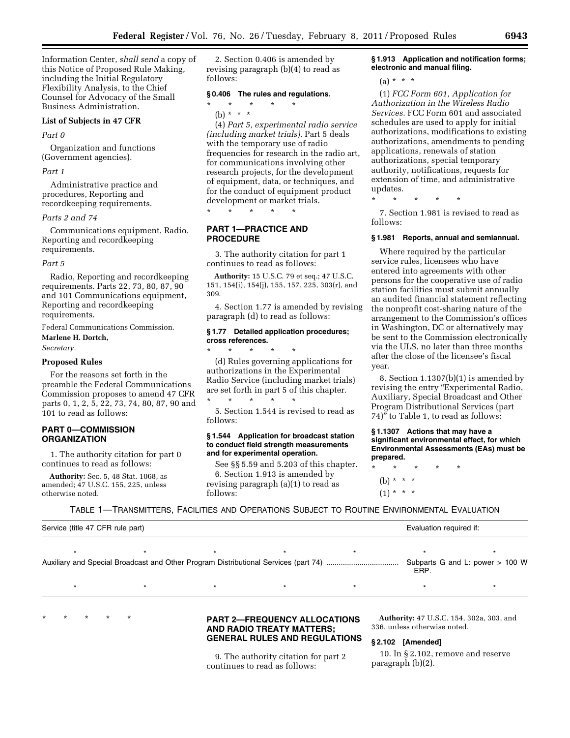Information Center, *shall send* a copy of this Notice of Proposed Rule Making, including the Initial Regulatory Flexibility Analysis, to the Chief Counsel for Advocacy of the Small Business Administration.

#### **List of Subjects in 47 CFR**

#### *Part 0*

Organization and functions (Government agencies).

# *Part 1*

Administrative practice and procedures, Reporting and recordkeeping requirements.

#### *Parts 2 and 74*

Communications equipment, Radio, Reporting and recordkeeping requirements.

#### *Part 5*

Radio, Reporting and recordkeeping requirements. Parts 22, 73, 80, 87, 90 and 101 Communications equipment, Reporting and recordkeeping requirements.

Federal Communications Commission. **Marlene H. Dortch,** 

*Secretary.* 

# **Proposed Rules**

For the reasons set forth in the preamble the Federal Communications Commission proposes to amend 47 CFR parts 0, 1, 2, 5, 22, 73, 74, 80, 87, 90 and 101 to read as follows:

# **PART 0—COMMISSION ORGANIZATION**

1. The authority citation for part 0 continues to read as follows:

**Authority:** Sec. 5, 48 Stat. 1068, as amended; 47 U.S.C. 155, 225, unless otherwise noted.

2. Section 0.406 is amended by revising paragraph (b)(4) to read as follows:

# **§ 0.406 The rules and regulations.**

# \* \* \* \* \*

(b) \* \* \*

(4) *Part 5, experimental radio service (including market trials).* Part 5 deals with the temporary use of radio frequencies for research in the radio art, for communications involving other research projects, for the development of equipment, data, or techniques, and for the conduct of equipment product development or market trials.

\* \* \* \* \*

# **PART 1—PRACTICE AND PROCEDURE**

3. The authority citation for part 1 continues to read as follows:

**Authority:** 15 U.S.C. 79 et seq.; 47 U.S.C. 151, 154(i), 154(j), 155, 157, 225, 303(r), and 309.

4. Section 1.77 is amended by revising paragraph (d) to read as follows:

# **§ 1.77 Detailed application procedures; cross references.**

\* \* \* \* \* (d) Rules governing applications for authorizations in the Experimental Radio Service (including market trials) are set forth in part 5 of this chapter. \* \* \* \* \*

5. Section 1.544 is revised to read as follows:

# **§ 1.544 Application for broadcast station to conduct field strength measurements and for experimental operation.**

See §§ 5.59 and 5.203 of this chapter. 6. Section 1.913 is amended by revising paragraph (a)(1) to read as follows:

# **§ 1.913 Application and notification forms; electronic and manual filing.**

(a) \* \* \*

(1) *FCC Form 601, Application for Authorization in the Wireless Radio Services.* FCC Form 601 and associated schedules are used to apply for initial authorizations, modifications to existing authorizations, amendments to pending applications, renewals of station authorizations, special temporary authority, notifications, requests for extension of time, and administrative updates.

\* \* \* \* \*

7. Section 1.981 is revised to read as follows:

#### **§ 1.981 Reports, annual and semiannual.**

Where required by the particular service rules, licensees who have entered into agreements with other persons for the cooperative use of radio station facilities must submit annually an audited financial statement reflecting the nonprofit cost-sharing nature of the arrangement to the Commission's offices in Washington, DC or alternatively may be sent to the Commission electronically via the ULS, no later than three months after the close of the licensee's fiscal year.

8. Section  $1.1307(b)(1)$  is amended by revising the entry "Experimental Radio, Auxiliary, Special Broadcast and Other Program Distributional Services (part 74)'' to Table 1, to read as follows:

**§ 1.1307 Actions that may have a significant environmental effect, for which Environmental Assessments (EAs) must be prepared.** 

\* \* \* \* \* (b) \* \* \*  $(1) * * * *$ 

TABLE 1—TRANSMITTERS, FACILITIES AND OPERATIONS SUBJECT TO ROUTINE ENVIRONMENTAL EVALUATION

| Service (title 47 CFR rule part) |  |  |  |  | Evaluation required if: |                                 |
|----------------------------------|--|--|--|--|-------------------------|---------------------------------|
|                                  |  |  |  |  |                         |                                 |
|                                  |  |  |  |  | ERP.                    | Subparts G and L: power > 100 W |
|                                  |  |  |  |  |                         |                                 |

# \* \* \* \* \* **PART 2—FREQUENCY ALLOCATIONS AND RADIO TREATY MATTERS; GENERAL RULES AND REGULATIONS**

9. The authority citation for part 2 continues to read as follows:

**Authority:** 47 U.S.C. 154, 302a, 303, and 336, unless otherwise noted.

# **§ 2.102 [Amended]**

10. In § 2.102, remove and reserve paragraph (b)(2).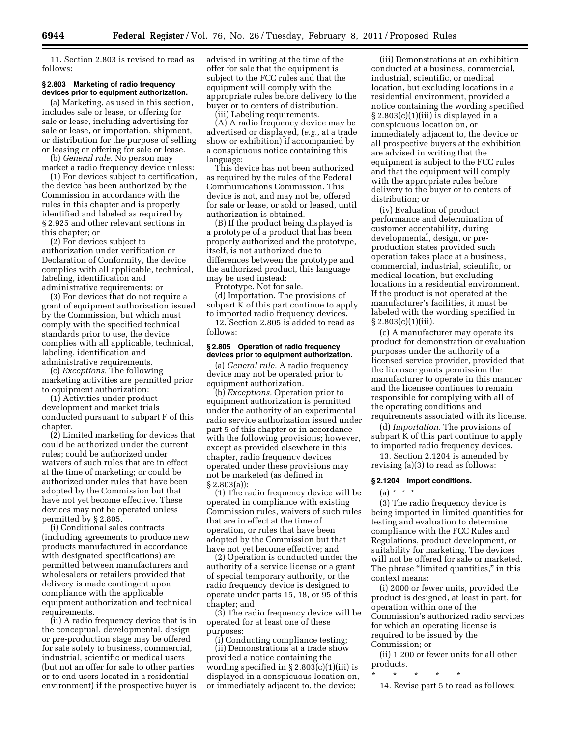11. Section 2.803 is revised to read as follows:

# **§ 2.803 Marketing of radio frequency devices prior to equipment authorization.**

(a) Marketing, as used in this section, includes sale or lease, or offering for sale or lease, including advertising for sale or lease, or importation, shipment, or distribution for the purpose of selling or leasing or offering for sale or lease.

(b) *General rule.* No person may market a radio frequency device unless:

(1) For devices subject to certification, the device has been authorized by the Commission in accordance with the rules in this chapter and is properly identified and labeled as required by § 2.925 and other relevant sections in this chapter; or

(2) For devices subject to authorization under verification or Declaration of Conformity, the device complies with all applicable, technical, labeling, identification and administrative requirements; or

(3) For devices that do not require a grant of equipment authorization issued by the Commission, but which must comply with the specified technical standards prior to use, the device complies with all applicable, technical, labeling, identification and administrative requirements.

(c) *Exceptions.* The following marketing activities are permitted prior to equipment authorization:

(1) Activities under product development and market trials conducted pursuant to subpart F of this chapter.

(2) Limited marketing for devices that could be authorized under the current rules; could be authorized under waivers of such rules that are in effect at the time of marketing; or could be authorized under rules that have been adopted by the Commission but that have not yet become effective. These devices may not be operated unless permitted by § 2.805.

(i) Conditional sales contracts (including agreements to produce new products manufactured in accordance with designated specifications) are permitted between manufacturers and wholesalers or retailers provided that delivery is made contingent upon compliance with the applicable equipment authorization and technical requirements.

(ii) A radio frequency device that is in the conceptual, developmental, design or pre-production stage may be offered for sale solely to business, commercial, industrial, scientific or medical users (but not an offer for sale to other parties or to end users located in a residential environment) if the prospective buyer is

advised in writing at the time of the offer for sale that the equipment is subject to the FCC rules and that the equipment will comply with the appropriate rules before delivery to the buyer or to centers of distribution.

(iii) Labeling requirements.

(A) A radio frequency device may be advertised or displayed, (*e.g.,* at a trade show or exhibition) if accompanied by a conspicuous notice containing this language:

This device has not been authorized as required by the rules of the Federal Communications Commission. This device is not, and may not be, offered for sale or lease, or sold or leased, until authorization is obtained.

(B) If the product being displayed is a prototype of a product that has been properly authorized and the prototype, itself, is not authorized due to differences between the prototype and the authorized product, this language may be used instead:

Prototype. Not for sale.

(d) Importation. The provisions of subpart K of this part continue to apply to imported radio frequency devices.

12. Section 2.805 is added to read as follows:

# **§ 2.805 Operation of radio frequency devices prior to equipment authorization.**

(a) *General rule.* A radio frequency device may not be operated prior to equipment authorization.

(b) *Exceptions.* Operation prior to equipment authorization is permitted under the authority of an experimental radio service authorization issued under part 5 of this chapter or in accordance with the following provisions; however, except as provided elsewhere in this chapter, radio frequency devices operated under these provisions may not be marketed (as defined in § 2.803(a)):

(1) The radio frequency device will be operated in compliance with existing Commission rules, waivers of such rules that are in effect at the time of operation, or rules that have been adopted by the Commission but that have not yet become effective; and

(2) Operation is conducted under the authority of a service license or a grant of special temporary authority, or the radio frequency device is designed to operate under parts 15, 18, or 95 of this chapter; and

(3) The radio frequency device will be operated for at least one of these purposes:

(i) Conducting compliance testing; (ii) Demonstrations at a trade show provided a notice containing the wording specified in  $\S 2.803(c)(1)(iii)$  is displayed in a conspicuous location on, or immediately adjacent to, the device;

(iii) Demonstrations at an exhibition conducted at a business, commercial, industrial, scientific, or medical location, but excluding locations in a residential environment, provided a notice containing the wording specified  $\S 2.803(c)(1)(iii)$  is displayed in a conspicuous location on, or immediately adjacent to, the device or all prospective buyers at the exhibition are advised in writing that the equipment is subject to the FCC rules and that the equipment will comply with the appropriate rules before delivery to the buyer or to centers of distribution; or

(iv) Evaluation of product performance and determination of customer acceptability, during developmental, design, or preproduction states provided such operation takes place at a business, commercial, industrial, scientific, or medical location, but excluding locations in a residential environment. If the product is not operated at the manufacturer's facilities, it must be labeled with the wording specified in § 2.803(c)(1)(iii).

(c) A manufacturer may operate its product for demonstration or evaluation purposes under the authority of a licensed service provider, provided that the licensee grants permission the manufacturer to operate in this manner and the licensee continues to remain responsible for complying with all of the operating conditions and requirements associated with its license.

(d) *Importation.* The provisions of subpart K of this part continue to apply to imported radio frequency devices.

13. Section 2.1204 is amended by revising (a)(3) to read as follows:

# **§ 2.1204 Import conditions.**

 $(a) * * * *$ 

(3) The radio frequency device is being imported in limited quantities for testing and evaluation to determine compliance with the FCC Rules and Regulations, product development, or suitability for marketing. The devices will not be offered for sale or marketed. The phrase "limited quantities," in this context means:

(i) 2000 or fewer units, provided the product is designed, at least in part, for operation within one of the Commission's authorized radio services for which an operating license is required to be issued by the Commission; or

(ii) 1,200 or fewer units for all other products.

\* \* \* \* \*

14. Revise part 5 to read as follows: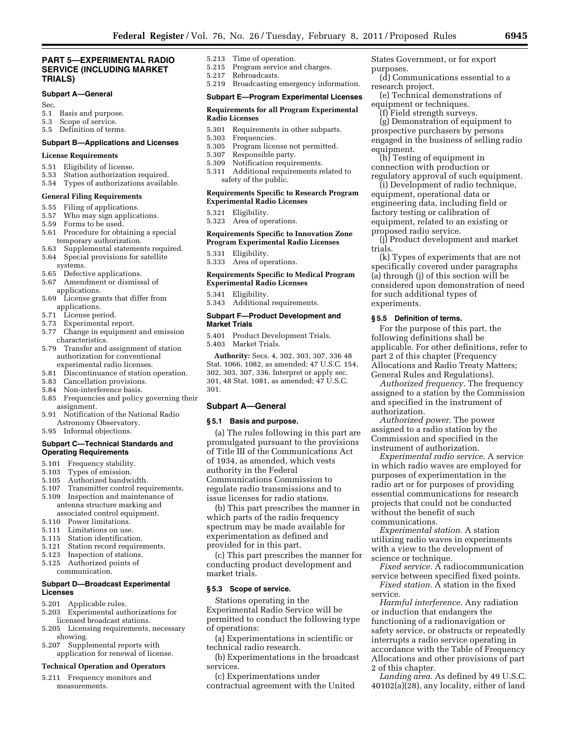# **PART 5—EXPERIMENTAL RADIO SERVICE (INCLUDING MARKET TRIALS)**

# **Subpart A—General**

- Sec.
- 5.1 Basis and purpose.
- 5.3 Scope of service.
- 5.5 Definition of terms.

# **Subpart B—Applications and Licenses**

# **License Requirements**

- 5.51 Eligibility of license.
- 5.53 Station authorization required.
- 5.54 Types of authorizations available.

#### **General Filing Requirements**

- 5.55 Filing of applications.<br>5.57 Who may sign applica
- 5.57 Who may sign applications.<br>5.59 Forms to be used. Forms to be used.
- 5.61 Procedure for obtaining a special temporary authorization.
- 5.63 Supplemental statements required.
- 5.64 Special provisions for satellite
- systems.
- 5.65 Defective applications.
- 5.67 Amendment or dismissal of applications.
- 5.69 License grants that differ from applications.
- 5.71 License period.
- 5.73 Experimental report.
- 5.77 Change in equipment and emission characteristics.
- 5.79 Transfer and assignment of station authorization for conventional experimental radio licenses.
- 5.81 Discontinuance of station operation.<br>5.83 Cancellation provisions.
- Cancellation provisions.
- 
- 5.84 Non-interference basis.<br>5.85 Frequencies and policy Frequencies and policy governing their assignment.
- 5.91 Notification of the National Radio Astronomy Observatory.
- 5.95 Informal objections.

# **Subpart C—Technical Standards and Operating Requirements**

- 5.101 Frequency stability.
- 5.103 Types of emission.
- 
- 5.105 Authorized bandwidth.
- 5.107 Transmitter control requirements.<br>5.109 Inspection and maintenance of Inspection and maintenance of antenna structure marking and associated control equipment.<br>5.110 Power limitations.
- Power limitations.
- 5.111 Limitations on use.
- 
- 5.115 Station identification.<br>5.121 Station record require Station record requirements.
- 5.123 Inspection of stations.
- 5.125 Authorized points of
- communication.

#### **Subpart D—Broadcast Experimental Licenses**

- 5.201 Applicable rules.
- 5.203 Experimental authorizations for licensed broadcast stations.
- 5.205 Licensing requirements, necessary showing.
- 5.207 Supplemental reports with application for renewal of license.

# **Technical Operation and Operators**

5.211 Frequency monitors and measurements.

- 5.213 Time of operation.
- 5.215 Program service and charges.<br>5.217 Rebroadcasts. Rebroadcasts.
- 5.219 Broadcasting emergency information.

## **Subpart E—Program Experimental Licenses**

#### **Requirements for all Program Experimental Radio Licenses**

- 5.301 Requirements in other subparts.<br>5.303 Frequencies.
- Frequencies.
- 5.305 Program license not permitted.
- 5.307 Responsible party.<br>5.309 Notification require
- Notification requirements.
- 5.311 Additional requirements related to safety of the public.

# **Requirements Specific to Research Program Experimental Radio Licenses**

- 5.321 Eligibility.
- 5.323 Area of operations.

# **Requirements Specific to Innovation Zone Program Experimental Radio Licenses**

- 5.331 Eligibility.
- 5.333 Area of operations.

#### **Requirements Specific to Medical Program Experimental Radio Licenses**

5.341 Eligibility.

5.343 Additional requirements.

# **Subpart F—Product Development and Market Trials**

5.401 Product Development Trials. 5.403 Market Trials.

**Authority:** Secs. 4, 302, 303, 307, 336 48 Stat. 1066, 1082, as amended; 47 U.S.C. 154, 302, 303, 307, 336. Interpret or apply sec. 301, 48 Stat. 1081, as amended; 47 U.S.C. 301.

#### **Subpart A—General**

#### **§ 5.1 Basis and purpose.**

(a) The rules following in this part are promulgated pursuant to the provisions of Title III of the Communications Act of 1934, as amended, which vests authority in the Federal Communications Commission to regulate radio transmissions and to issue licenses for radio stations.

(b) This part prescribes the manner in which parts of the radio frequency spectrum may be made available for experimentation as defined and provided for in this part.

(c) This part prescribes the manner for conducting product development and market trials.

# **§ 5.3 Scope of service.**

Stations operating in the Experimental Radio Service will be permitted to conduct the following type of operations:

(a) Experimentations in scientific or technical radio research.

(b) Experimentations in the broadcast services.

(c) Experimentations under contractual agreement with the United States Government, or for export purposes.

- (d) Communications essential to a research project.
- (e) Technical demonstrations of equipment or techniques.
	- (f) Field strength surveys.

(g) Demonstration of equipment to prospective purchasers by persons engaged in the business of selling radio equipment.

(h) Testing of equipment in connection with production or regulatory approval of such equipment.

(i) Development of radio technique, equipment, operational data or engineering data, including field or factory testing or calibration of equipment, related to an existing or proposed radio service.

(j) Product development and market trials.

(k) Types of experiments that are not specifically covered under paragraphs (a) through (j) of this section will be considered upon demonstration of need for such additional types of experiments.

# **§ 5.5 Definition of terms.**

For the purpose of this part, the following definitions shall be applicable. For other definitions, refer to part 2 of this chapter (Frequency Allocations and Radio Treaty Matters; General Rules and Regulations).

*Authorized frequency.* The frequency assigned to a station by the Commission and specified in the instrument of authorization.

*Authorized power.* The power assigned to a radio station by the Commission and specified in the instrument of authorization.

*Experimental radio service.* A service in which radio waves are employed for purposes of experimentation in the radio art or for purposes of providing essential communications for research projects that could not be conducted without the benefit of such communications.

*Experimental station.* A station utilizing radio waves in experiments with a view to the development of science or technique.

service.

2 of this chapter.

*Fixed service.* A radiocommunication service between specified fixed points. *Fixed station.* A station in the fixed

*Harmful interference.* Any radiation

*Landing area.* As defined by 49 U.S.C. 40102(a)(28), any locality, either of land

or induction that endangers the functioning of a radionavigation or safety service, or obstructs or repeatedly interrupts a radio service operating in accordance with the Table of Frequency Allocations and other provisions of part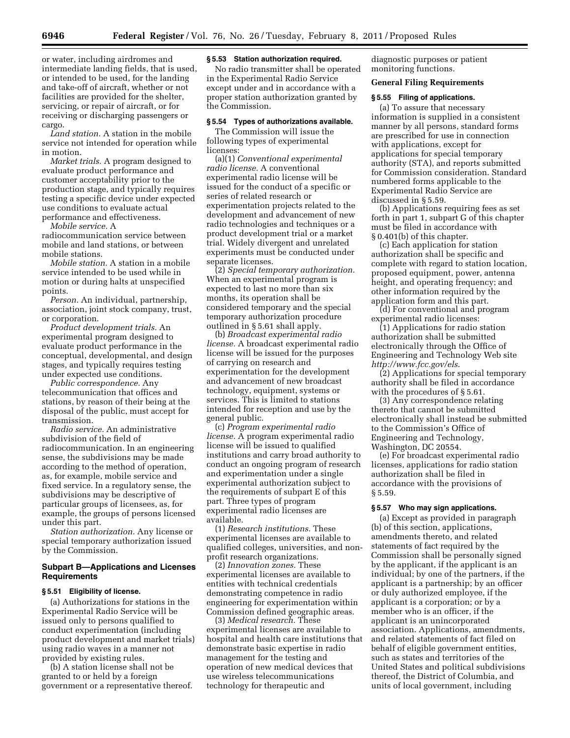or water, including airdromes and intermediate landing fields, that is used, or intended to be used, for the landing and take-off of aircraft, whether or not facilities are provided for the shelter, servicing, or repair of aircraft, or for receiving or discharging passengers or cargo.

*Land station.* A station in the mobile service not intended for operation while in motion.

*Market trials.* A program designed to evaluate product performance and customer acceptability prior to the production stage, and typically requires testing a specific device under expected use conditions to evaluate actual performance and effectiveness.

*Mobile service.* A

radiocommunication service between mobile and land stations, or between mobile stations.

*Mobile station.* A station in a mobile service intended to be used while in motion or during halts at unspecified points.

*Person.* An individual, partnership, association, joint stock company, trust, or corporation.

*Product development trials.* An experimental program designed to evaluate product performance in the conceptual, developmental, and design stages, and typically requires testing under expected use conditions.

*Public correspondence.* Any telecommunication that offices and stations, by reason of their being at the disposal of the public, must accept for transmission.

*Radio service.* An administrative subdivision of the field of radiocommunication. In an engineering sense, the subdivisions may be made according to the method of operation, as, for example, mobile service and fixed service. In a regulatory sense, the subdivisions may be descriptive of particular groups of licensees, as, for example, the groups of persons licensed under this part.

*Station authorization.* Any license or special temporary authorization issued by the Commission.

# **Subpart B—Applications and Licenses Requirements**

#### **§ 5.51 Eligibility of license.**

(a) Authorizations for stations in the Experimental Radio Service will be issued only to persons qualified to conduct experimentation (including product development and market trials) using radio waves in a manner not provided by existing rules.

(b) A station license shall not be granted to or held by a foreign government or a representative thereof.

#### **§ 5.53 Station authorization required.**

No radio transmitter shall be operated in the Experimental Radio Service except under and in accordance with a proper station authorization granted by the Commission.

# **§ 5.54 Types of authorizations available.**

The Commission will issue the following types of experimental licenses:

(a)(1) *Conventional experimental radio license.* A conventional experimental radio license will be issued for the conduct of a specific or series of related research or experimentation projects related to the development and advancement of new radio technologies and techniques or a product development trial or a market trial. Widely divergent and unrelated experiments must be conducted under separate licenses.

(2) *Special temporary authorization.*  When an experimental program is expected to last no more than six months, its operation shall be considered temporary and the special temporary authorization procedure outlined in § 5.61 shall apply.

(b) *Broadcast experimental radio license.* A broadcast experimental radio license will be issued for the purposes of carrying on research and experimentation for the development and advancement of new broadcast technology, equipment, systems or services. This is limited to stations intended for reception and use by the general public.

(c) *Program experimental radio license.* A program experimental radio license will be issued to qualified institutions and carry broad authority to conduct an ongoing program of research and experimentation under a single experimental authorization subject to the requirements of subpart E of this part. Three types of program experimental radio licenses are available.

(1) *Research institutions.* These experimental licenses are available to qualified colleges, universities, and nonprofit research organizations.

(2) *Innovation zones.* These experimental licenses are available to entities with technical credentials demonstrating competence in radio engineering for experimentation within Commission defined geographic areas.

(3) *Medical research.* These experimental licenses are available to hospital and health care institutions that demonstrate basic expertise in radio management for the testing and operation of new medical devices that use wireless telecommunications technology for therapeutic and

diagnostic purposes or patient monitoring functions.

# **General Filing Requirements**

# **§ 5.55 Filing of applications.**

(a) To assure that necessary information is supplied in a consistent manner by all persons, standard forms are prescribed for use in connection with applications, except for applications for special temporary authority (STA), and reports submitted for Commission consideration. Standard numbered forms applicable to the Experimental Radio Service are discussed in § 5.59.

(b) Applications requiring fees as set forth in part 1, subpart G of this chapter must be filed in accordance with § 0.401(b) of this chapter.

(c) Each application for station authorization shall be specific and complete with regard to station location, proposed equipment, power, antenna height, and operating frequency; and other information required by the application form and this part.

(d) For conventional and program experimental radio licenses:

(1) Applications for radio station authorization shall be submitted electronically through the Office of Engineering and Technology Web site *<http://www.fcc.gov/els>*.

(2) Applications for special temporary authority shall be filed in accordance with the procedures of § 5.61.

(3) Any correspondence relating thereto that cannot be submitted electronically shall instead be submitted to the Commission's Office of Engineering and Technology, Washington, DC 20554.

(e) For broadcast experimental radio licenses, applications for radio station authorization shall be filed in accordance with the provisions of § 5.59.

# **§ 5.57 Who may sign applications.**

(a) Except as provided in paragraph (b) of this section, applications, amendments thereto, and related statements of fact required by the Commission shall be personally signed by the applicant, if the applicant is an individual; by one of the partners, if the applicant is a partnership; by an officer or duly authorized employee, if the applicant is a corporation; or by a member who is an officer, if the applicant is an unincorporated association. Applications, amendments, and related statements of fact filed on behalf of eligible government entities, such as states and territories of the United States and political subdivisions thereof, the District of Columbia, and units of local government, including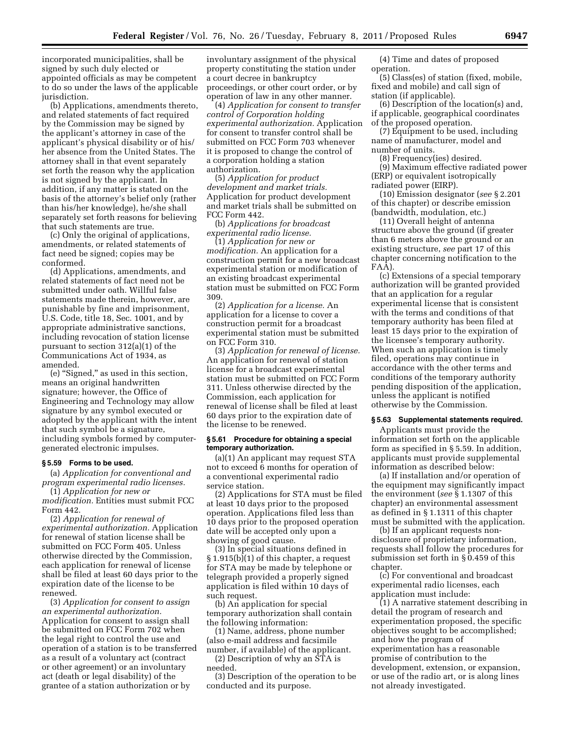incorporated municipalities, shall be signed by such duly elected or appointed officials as may be competent to do so under the laws of the applicable jurisdiction.

(b) Applications, amendments thereto, and related statements of fact required by the Commission may be signed by the applicant's attorney in case of the applicant's physical disability or of his/ her absence from the United States. The attorney shall in that event separately set forth the reason why the application is not signed by the applicant. In addition, if any matter is stated on the basis of the attorney's belief only (rather than his/her knowledge), he/she shall separately set forth reasons for believing that such statements are true.

(c) Only the original of applications, amendments, or related statements of fact need be signed; copies may be conformed.

(d) Applications, amendments, and related statements of fact need not be submitted under oath. Willful false statements made therein, however, are punishable by fine and imprisonment, U.S. Code, title 18, Sec. 1001, and by appropriate administrative sanctions, including revocation of station license pursuant to section 312(a)(1) of the Communications Act of 1934, as amended.

(e) ''Signed,'' as used in this section, means an original handwritten signature; however, the Office of Engineering and Technology may allow signature by any symbol executed or adopted by the applicant with the intent that such symbol be a signature, including symbols formed by computergenerated electronic impulses.

#### **§ 5.59 Forms to be used.**

(a) *Application for conventional and program experimental radio licenses.* 

(1) *Application for new or modification.* Entities must submit FCC Form 442.

(2) *Application for renewal of experimental authorization.* Application for renewal of station license shall be submitted on FCC Form 405. Unless otherwise directed by the Commission, each application for renewal of license shall be filed at least 60 days prior to the expiration date of the license to be renewed.

(3) *Application for consent to assign an experimental authorization.*  Application for consent to assign shall be submitted on FCC Form 702 when the legal right to control the use and operation of a station is to be transferred as a result of a voluntary act (contract or other agreement) or an involuntary act (death or legal disability) of the grantee of a station authorization or by

involuntary assignment of the physical property constituting the station under a court decree in bankruptcy proceedings, or other court order, or by operation of law in any other manner.

(4) *Application for consent to transfer control of Corporation holding experimental authorization.* Application for consent to transfer control shall be submitted on FCC Form 703 whenever it is proposed to change the control of a corporation holding a station authorization.

(5) *Application for product development and market trials.*  Application for product development and market trials shall be submitted on FCC Form 442.

(b) *Applications for broadcast experimental radio license.* 

(1) *Application for new or modification.* An application for a construction permit for a new broadcast experimental station or modification of an existing broadcast experimental station must be submitted on FCC Form 309.

(2) *Application for a license.* An application for a license to cover a construction permit for a broadcast experimental station must be submitted on FCC Form 310.

(3) *Application for renewal of license.*  An application for renewal of station license for a broadcast experimental station must be submitted on FCC Form 311. Unless otherwise directed by the Commission, each application for renewal of license shall be filed at least 60 days prior to the expiration date of the license to be renewed.

# **§ 5.61 Procedure for obtaining a special temporary authorization.**

(a)(1) An applicant may request STA not to exceed 6 months for operation of a conventional experimental radio service station.

(2) Applications for STA must be filed at least 10 days prior to the proposed operation. Applications filed less than 10 days prior to the proposed operation date will be accepted only upon a showing of good cause.

(3) In special situations defined in § 1.915(b)(1) of this chapter, a request for STA may be made by telephone or telegraph provided a properly signed application is filed within 10 days of such request.

(b) An application for special temporary authorization shall contain the following information:

(1) Name, address, phone number (also e-mail address and facsimile number, if available) of the applicant.

(2) Description of why an STA is needed.

(3) Description of the operation to be conducted and its purpose.

(4) Time and dates of proposed operation.

(5) Class(es) of station (fixed, mobile, fixed and mobile) and call sign of station (if applicable).

(6) Description of the location(s) and, if applicable, geographical coordinates of the proposed operation.

(7) Equipment to be used, including name of manufacturer, model and number of units.

(8) Frequency(ies) desired. (9) Maximum effective radiated power (ERP) or equivalent isotropically radiated power (EIRP).

(10) Emission designator (*see* § 2.201 of this chapter) or describe emission (bandwidth, modulation, etc.)

(11) Overall height of antenna structure above the ground (if greater than 6 meters above the ground or an existing structure, *see* part 17 of this chapter concerning notification to the FAA).

(c) Extensions of a special temporary authorization will be granted provided that an application for a regular experimental license that is consistent with the terms and conditions of that temporary authority has been filed at least 15 days prior to the expiration of the licensee's temporary authority. When such an application is timely filed, operations may continue in accordance with the other terms and conditions of the temporary authority pending disposition of the application, unless the applicant is notified otherwise by the Commission.

# **§ 5.63 Supplemental statements required.**

Applicants must provide the information set forth on the applicable form as specified in § 5.59. In addition, applicants must provide supplemental information as described below:

(a) If installation and/or operation of the equipment may significantly impact the environment (*see* § 1.1307 of this chapter) an environmental assessment as defined in § 1.1311 of this chapter must be submitted with the application.

(b) If an applicant requests nondisclosure of proprietary information, requests shall follow the procedures for submission set forth in § 0.459 of this chapter.

(c) For conventional and broadcast experimental radio licenses, each application must include:

(1) A narrative statement describing in detail the program of research and experimentation proposed, the specific objectives sought to be accomplished; and how the program of experimentation has a reasonable promise of contribution to the development, extension, or expansion, or use of the radio art, or is along lines not already investigated.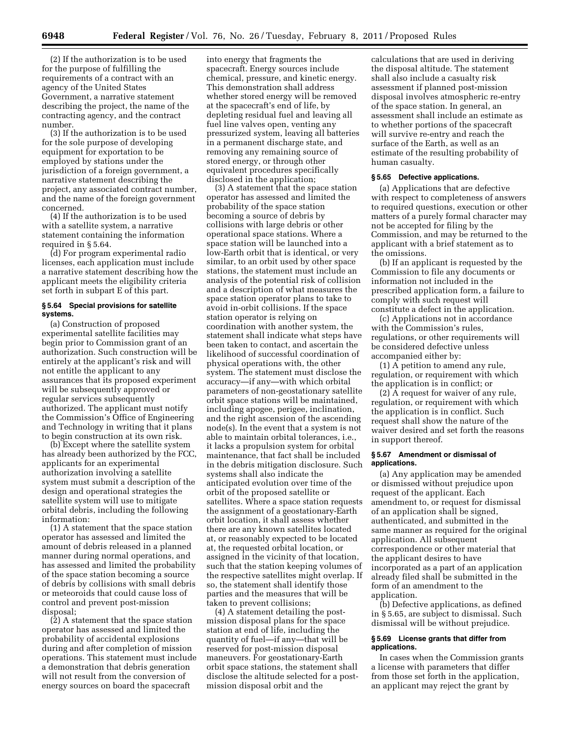(2) If the authorization is to be used for the purpose of fulfilling the requirements of a contract with an agency of the United States Government, a narrative statement describing the project, the name of the contracting agency, and the contract number.

(3) If the authorization is to be used for the sole purpose of developing equipment for exportation to be employed by stations under the jurisdiction of a foreign government, a narrative statement describing the project, any associated contract number, and the name of the foreign government concerned.

(4) If the authorization is to be used with a satellite system, a narrative statement containing the information required in § 5.64.

(d) For program experimental radio licenses, each application must include a narrative statement describing how the applicant meets the eligibility criteria set forth in subpart E of this part.

# **§ 5.64 Special provisions for satellite systems.**

(a) Construction of proposed experimental satellite facilities may begin prior to Commission grant of an authorization. Such construction will be entirely at the applicant's risk and will not entitle the applicant to any assurances that its proposed experiment will be subsequently approved or regular services subsequently authorized. The applicant must notify the Commission's Office of Engineering and Technology in writing that it plans to begin construction at its own risk.

(b) Except where the satellite system has already been authorized by the FCC, applicants for an experimental authorization involving a satellite system must submit a description of the design and operational strategies the satellite system will use to mitigate orbital debris, including the following information:

(1) A statement that the space station operator has assessed and limited the amount of debris released in a planned manner during normal operations, and has assessed and limited the probability of the space station becoming a source of debris by collisions with small debris or meteoroids that could cause loss of control and prevent post-mission disposal;

(2) A statement that the space station operator has assessed and limited the probability of accidental explosions during and after completion of mission operations. This statement must include a demonstration that debris generation will not result from the conversion of energy sources on board the spacecraft

into energy that fragments the spacecraft. Energy sources include chemical, pressure, and kinetic energy. This demonstration shall address whether stored energy will be removed at the spacecraft's end of life, by depleting residual fuel and leaving all fuel line valves open, venting any pressurized system, leaving all batteries in a permanent discharge state, and removing any remaining source of stored energy, or through other equivalent procedures specifically disclosed in the application;

(3) A statement that the space station operator has assessed and limited the probability of the space station becoming a source of debris by collisions with large debris or other operational space stations. Where a space station will be launched into a low-Earth orbit that is identical, or very similar, to an orbit used by other space stations, the statement must include an analysis of the potential risk of collision and a description of what measures the space station operator plans to take to avoid in-orbit collisions. If the space station operator is relying on coordination with another system, the statement shall indicate what steps have been taken to contact, and ascertain the likelihood of successful coordination of physical operations with, the other system. The statement must disclose the accuracy—if any—with which orbital parameters of non-geostationary satellite orbit space stations will be maintained, including apogee, perigee, inclination, and the right ascension of the ascending node(s). In the event that a system is not able to maintain orbital tolerances, i.e., it lacks a propulsion system for orbital maintenance, that fact shall be included in the debris mitigation disclosure. Such systems shall also indicate the anticipated evolution over time of the orbit of the proposed satellite or satellites. Where a space station requests the assignment of a geostationary-Earth orbit location, it shall assess whether there are any known satellites located at, or reasonably expected to be located at, the requested orbital location, or assigned in the vicinity of that location, such that the station keeping volumes of the respective satellites might overlap. If so, the statement shall identify those parties and the measures that will be taken to prevent collisions;

(4) A statement detailing the postmission disposal plans for the space station at end of life, including the quantity of fuel—if any—that will be reserved for post-mission disposal maneuvers. For geostationary-Earth orbit space stations, the statement shall disclose the altitude selected for a postmission disposal orbit and the

calculations that are used in deriving the disposal altitude. The statement shall also include a casualty risk assessment if planned post-mission disposal involves atmospheric re-entry of the space station. In general, an assessment shall include an estimate as to whether portions of the spacecraft will survive re-entry and reach the surface of the Earth, as well as an estimate of the resulting probability of human casualty.

#### **§ 5.65 Defective applications.**

(a) Applications that are defective with respect to completeness of answers to required questions, execution or other matters of a purely formal character may not be accepted for filing by the Commission, and may be returned to the applicant with a brief statement as to the omissions.

(b) If an applicant is requested by the Commission to file any documents or information not included in the prescribed application form, a failure to comply with such request will constitute a defect in the application.

(c) Applications not in accordance with the Commission's rules, regulations, or other requirements will be considered defective unless accompanied either by:

(1) A petition to amend any rule, regulation, or requirement with which the application is in conflict; or

(2) A request for waiver of any rule, regulation, or requirement with which the application is in conflict. Such request shall show the nature of the waiver desired and set forth the reasons in support thereof.

# **§ 5.67 Amendment or dismissal of applications.**

(a) Any application may be amended or dismissed without prejudice upon request of the applicant. Each amendment to, or request for dismissal of an application shall be signed, authenticated, and submitted in the same manner as required for the original application. All subsequent correspondence or other material that the applicant desires to have incorporated as a part of an application already filed shall be submitted in the form of an amendment to the application.

(b) Defective applications, as defined in § 5.65, are subject to dismissal. Such dismissal will be without prejudice.

# **§ 5.69 License grants that differ from applications.**

In cases when the Commission grants a license with parameters that differ from those set forth in the application, an applicant may reject the grant by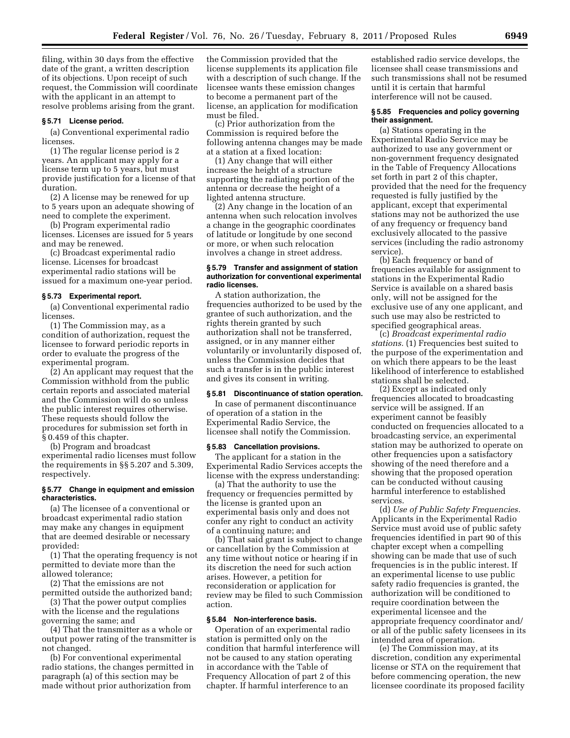filing, within 30 days from the effective date of the grant, a written description of its objections. Upon receipt of such request, the Commission will coordinate with the applicant in an attempt to resolve problems arising from the grant.

# **§ 5.71 License period.**

(a) Conventional experimental radio licenses.

(1) The regular license period is 2 years. An applicant may apply for a license term up to 5 years, but must provide justification for a license of that duration.

(2) A license may be renewed for up to 5 years upon an adequate showing of need to complete the experiment.

(b) Program experimental radio licenses. Licenses are issued for 5 years and may be renewed.

(c) Broadcast experimental radio license. Licenses for broadcast experimental radio stations will be issued for a maximum one-year period.

#### **§ 5.73 Experimental report.**

(a) Conventional experimental radio licenses.

(1) The Commission may, as a condition of authorization, request the licensee to forward periodic reports in order to evaluate the progress of the experimental program.

(2) An applicant may request that the Commission withhold from the public certain reports and associated material and the Commission will do so unless the public interest requires otherwise. These requests should follow the procedures for submission set forth in § 0.459 of this chapter.

(b) Program and broadcast experimental radio licenses must follow the requirements in §§ 5.207 and 5.309, respectively.

#### **§ 5.77 Change in equipment and emission characteristics.**

(a) The licensee of a conventional or broadcast experimental radio station may make any changes in equipment that are deemed desirable or necessary provided:

(1) That the operating frequency is not permitted to deviate more than the allowed tolerance;

(2) That the emissions are not permitted outside the authorized band;

(3) That the power output complies with the license and the regulations governing the same; and

(4) That the transmitter as a whole or output power rating of the transmitter is not changed.

(b) For conventional experimental radio stations, the changes permitted in paragraph (a) of this section may be made without prior authorization from

the Commission provided that the license supplements its application file with a description of such change. If the licensee wants these emission changes to become a permanent part of the license, an application for modification must be filed.

(c) Prior authorization from the Commission is required before the following antenna changes may be made at a station at a fixed location:

(1) Any change that will either increase the height of a structure supporting the radiating portion of the antenna or decrease the height of a lighted antenna structure.

(2) Any change in the location of an antenna when such relocation involves a change in the geographic coordinates of latitude or longitude by one second or more, or when such relocation involves a change in street address.

# **§ 5.79 Transfer and assignment of station authorization for conventional experimental radio licenses.**

A station authorization, the frequencies authorized to be used by the grantee of such authorization, and the rights therein granted by such authorization shall not be transferred, assigned, or in any manner either voluntarily or involuntarily disposed of, unless the Commission decides that such a transfer is in the public interest and gives its consent in writing.

# **§ 5.81 Discontinuance of station operation.**

In case of permanent discontinuance of operation of a station in the Experimental Radio Service, the licensee shall notify the Commission.

#### **§ 5.83 Cancellation provisions.**

The applicant for a station in the Experimental Radio Services accepts the license with the express understanding:

(a) That the authority to use the frequency or frequencies permitted by the license is granted upon an experimental basis only and does not confer any right to conduct an activity of a continuing nature; and

(b) That said grant is subject to change or cancellation by the Commission at any time without notice or hearing if in its discretion the need for such action arises. However, a petition for reconsideration or application for review may be filed to such Commission action.

# **§ 5.84 Non-interference basis.**

Operation of an experimental radio station is permitted only on the condition that harmful interference will not be caused to any station operating in accordance with the Table of Frequency Allocation of part 2 of this chapter. If harmful interference to an

established radio service develops, the licensee shall cease transmissions and such transmissions shall not be resumed until it is certain that harmful interference will not be caused.

# **§ 5.85 Frequencies and policy governing their assignment.**

(a) Stations operating in the Experimental Radio Service may be authorized to use any government or non-government frequency designated in the Table of Frequency Allocations set forth in part 2 of this chapter, provided that the need for the frequency requested is fully justified by the applicant, except that experimental stations may not be authorized the use of any frequency or frequency band exclusively allocated to the passive services (including the radio astronomy service).

(b) Each frequency or band of frequencies available for assignment to stations in the Experimental Radio Service is available on a shared basis only, will not be assigned for the exclusive use of any one applicant, and such use may also be restricted to specified geographical areas.

(c) *Broadcast experimental radio stations.* (1) Frequencies best suited to the purpose of the experimentation and on which there appears to be the least likelihood of interference to established stations shall be selected.

(2) Except as indicated only frequencies allocated to broadcasting service will be assigned. If an experiment cannot be feasibly conducted on frequencies allocated to a broadcasting service, an experimental station may be authorized to operate on other frequencies upon a satisfactory showing of the need therefore and a showing that the proposed operation can be conducted without causing harmful interference to established services.

(d) *Use of Public Safety Frequencies.*  Applicants in the Experimental Radio Service must avoid use of public safety frequencies identified in part 90 of this chapter except when a compelling showing can be made that use of such frequencies is in the public interest. If an experimental license to use public safety radio frequencies is granted, the authorization will be conditioned to require coordination between the experimental licensee and the appropriate frequency coordinator and/ or all of the public safety licensees in its intended area of operation.

(e) The Commission may, at its discretion, condition any experimental license or STA on the requirement that before commencing operation, the new licensee coordinate its proposed facility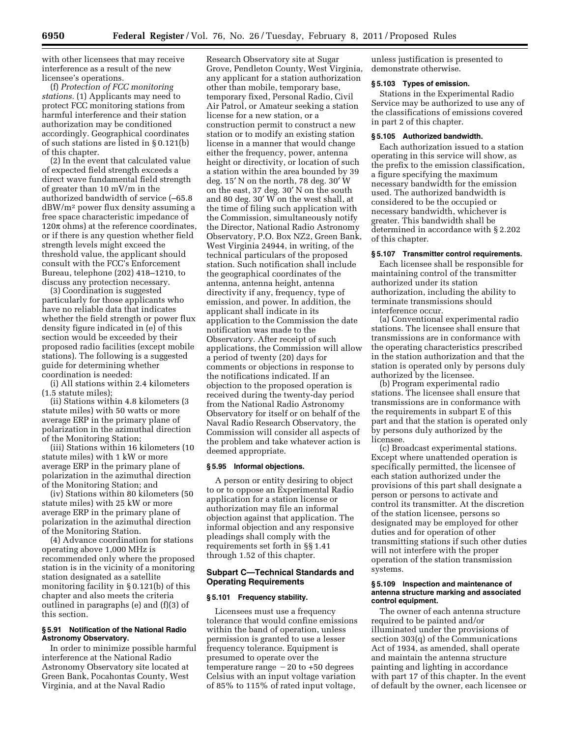with other licensees that may receive interference as a result of the new licensee's operations.

(f) *Protection of FCC monitoring stations.* (1) Applicants may need to protect FCC monitoring stations from harmful interference and their station authorization may be conditioned accordingly. Geographical coordinates of such stations are listed in § 0.121(b) of this chapter.

(2) In the event that calculated value of expected field strength exceeds a direct wave fundamental field strength of greater than 10 mV/m in the authorized bandwidth of service (–65.8 dBW/m2 power flux density assuming a free space characteristic impedance of  $120\pi$  ohms) at the reference coordinates, or if there is any question whether field strength levels might exceed the threshold value, the applicant should consult with the FCC's Enforcement Bureau, telephone (202) 418–1210, to discuss any protection necessary.

(3) Coordination is suggested particularly for those applicants who have no reliable data that indicates whether the field strength or power flux density figure indicated in (e) of this section would be exceeded by their proposed radio facilities (except mobile stations). The following is a suggested guide for determining whether coordination is needed:

(i) All stations within 2.4 kilometers (1.5 statute miles);

(ii) Stations within 4.8 kilometers (3 statute miles) with 50 watts or more average ERP in the primary plane of polarization in the azimuthal direction of the Monitoring Station;

(iii) Stations within 16 kilometers (10 statute miles) with 1 kW or more average ERP in the primary plane of polarization in the azimuthal direction of the Monitoring Station; and

(iv) Stations within 80 kilometers (50 statute miles) with 25 kW or more average ERP in the primary plane of polarization in the azimuthal direction of the Monitoring Station.

(4) Advance coordination for stations operating above 1,000 MHz is recommended only where the proposed station is in the vicinity of a monitoring station designated as a satellite monitoring facility in § 0.121(b) of this chapter and also meets the criteria outlined in paragraphs (e) and (f)(3) of this section.

# **§ 5.91 Notification of the National Radio Astronomy Observatory.**

In order to minimize possible harmful interference at the National Radio Astronomy Observatory site located at Green Bank, Pocahontas County, West Virginia, and at the Naval Radio

Research Observatory site at Sugar Grove, Pendleton County, West Virginia, any applicant for a station authorization other than mobile, temporary base, temporary fixed, Personal Radio, Civil Air Patrol, or Amateur seeking a station license for a new station, or a construction permit to construct a new station or to modify an existing station license in a manner that would change either the frequency, power, antenna height or directivity, or location of such a station within the area bounded by 39 deg. 15′ N on the north, 78 deg. 30′ W on the east, 37 deg. 30′ N on the south and 80 deg. 30′ W on the west shall, at the time of filing such application with the Commission, simultaneously notify the Director, National Radio Astronomy Observatory, P.O. Box NZ2, Green Bank, West Virginia 24944, in writing, of the technical particulars of the proposed station. Such notification shall include the geographical coordinates of the antenna, antenna height, antenna directivity if any, frequency, type of emission, and power. In addition, the applicant shall indicate in its application to the Commission the date notification was made to the Observatory. After receipt of such applications, the Commission will allow a period of twenty (20) days for comments or objections in response to the notifications indicated. If an objection to the proposed operation is received during the twenty-day period from the National Radio Astronomy Observatory for itself or on behalf of the Naval Radio Research Observatory, the Commission will consider all aspects of the problem and take whatever action is deemed appropriate.

# **§ 5.95 Informal objections.**

A person or entity desiring to object to or to oppose an Experimental Radio application for a station license or authorization may file an informal objection against that application. The informal objection and any responsive pleadings shall comply with the requirements set forth in §§ 1.41 through 1.52 of this chapter.

# **Subpart C—Technical Standards and Operating Requirements**

#### **§ 5.101 Frequency stability.**

Licensees must use a frequency tolerance that would confine emissions within the band of operation, unless permission is granted to use a lesser frequency tolerance. Equipment is presumed to operate over the temperature range  $-20$  to  $+50$  degrees Celsius with an input voltage variation of 85% to 115% of rated input voltage,

unless justification is presented to demonstrate otherwise.

# **§ 5.103 Types of emission.**

Stations in the Experimental Radio Service may be authorized to use any of the classifications of emissions covered in part 2 of this chapter.

# **§ 5.105 Authorized bandwidth.**

Each authorization issued to a station operating in this service will show, as the prefix to the emission classification, a figure specifying the maximum necessary bandwidth for the emission used. The authorized bandwidth is considered to be the occupied or necessary bandwidth, whichever is greater. This bandwidth shall be determined in accordance with § 2.202 of this chapter.

# **§ 5.107 Transmitter control requirements.**

Each licensee shall be responsible for maintaining control of the transmitter authorized under its station authorization, including the ability to terminate transmissions should interference occur.

(a) Conventional experimental radio stations. The licensee shall ensure that transmissions are in conformance with the operating characteristics prescribed in the station authorization and that the station is operated only by persons duly authorized by the licensee.

(b) Program experimental radio stations. The licensee shall ensure that transmissions are in conformance with the requirements in subpart E of this part and that the station is operated only by persons duly authorized by the licensee.

(c) Broadcast experimental stations. Except where unattended operation is specifically permitted, the licensee of each station authorized under the provisions of this part shall designate a person or persons to activate and control its transmitter. At the discretion of the station licensee, persons so designated may be employed for other duties and for operation of other transmitting stations if such other duties will not interfere with the proper operation of the station transmission systems.

# **§ 5.109 Inspection and maintenance of antenna structure marking and associated control equipment.**

The owner of each antenna structure required to be painted and/or illuminated under the provisions of section 303(q) of the Communications Act of 1934, as amended, shall operate and maintain the antenna structure painting and lighting in accordance with part 17 of this chapter. In the event of default by the owner, each licensee or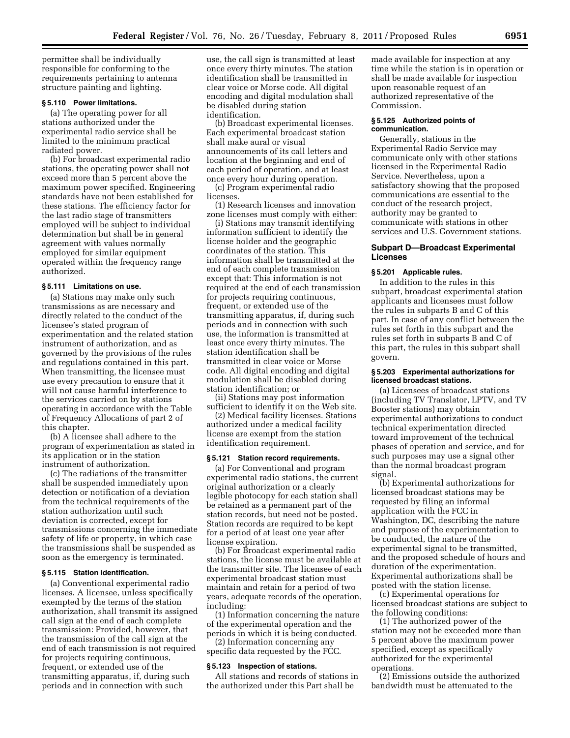permittee shall be individually responsible for conforming to the requirements pertaining to antenna structure painting and lighting.

# **§ 5.110 Power limitations.**

(a) The operating power for all stations authorized under the experimental radio service shall be limited to the minimum practical radiated power.

(b) For broadcast experimental radio stations, the operating power shall not exceed more than 5 percent above the maximum power specified. Engineering standards have not been established for these stations. The efficiency factor for the last radio stage of transmitters employed will be subject to individual determination but shall be in general agreement with values normally employed for similar equipment operated within the frequency range authorized.

#### **§ 5.111 Limitations on use.**

(a) Stations may make only such transmissions as are necessary and directly related to the conduct of the licensee's stated program of experimentation and the related station instrument of authorization, and as governed by the provisions of the rules and regulations contained in this part. When transmitting, the licensee must use every precaution to ensure that it will not cause harmful interference to the services carried on by stations operating in accordance with the Table of Frequency Allocations of part 2 of this chapter.

(b) A licensee shall adhere to the program of experimentation as stated in its application or in the station instrument of authorization.

(c) The radiations of the transmitter shall be suspended immediately upon detection or notification of a deviation from the technical requirements of the station authorization until such deviation is corrected, except for transmissions concerning the immediate safety of life or property, in which case the transmissions shall be suspended as soon as the emergency is terminated.

# **§ 5.115 Station identification.**

(a) Conventional experimental radio licenses. A licensee, unless specifically exempted by the terms of the station authorization, shall transmit its assigned call sign at the end of each complete transmission: Provided, however, that the transmission of the call sign at the end of each transmission is not required for projects requiring continuous, frequent, or extended use of the transmitting apparatus, if, during such periods and in connection with such

use, the call sign is transmitted at least once every thirty minutes. The station identification shall be transmitted in clear voice or Morse code. All digital encoding and digital modulation shall be disabled during station identification.

(b) Broadcast experimental licenses. Each experimental broadcast station shall make aural or visual announcements of its call letters and location at the beginning and end of each period of operation, and at least once every hour during operation.

(c) Program experimental radio licenses.

(1) Research licenses and innovation zone licenses must comply with either:

(i) Stations may transmit identifying information sufficient to identify the license holder and the geographic coordinates of the station. This information shall be transmitted at the end of each complete transmission except that: This information is not required at the end of each transmission for projects requiring continuous, frequent, or extended use of the transmitting apparatus, if, during such periods and in connection with such use, the information is transmitted at least once every thirty minutes. The station identification shall be transmitted in clear voice or Morse code. All digital encoding and digital modulation shall be disabled during station identification; or

(ii) Stations may post information sufficient to identify it on the Web site.

(2) Medical facility licenses. Stations authorized under a medical facility license are exempt from the station identification requirement.

# **§ 5.121 Station record requirements.**

(a) For Conventional and program experimental radio stations, the current original authorization or a clearly legible photocopy for each station shall be retained as a permanent part of the station records, but need not be posted. Station records are required to be kept for a period of at least one year after license expiration.

(b) For Broadcast experimental radio stations, the license must be available at the transmitter site. The licensee of each experimental broadcast station must maintain and retain for a period of two years, adequate records of the operation, including:

(1) Information concerning the nature of the experimental operation and the periods in which it is being conducted.

(2) Information concerning any specific data requested by the FCC.

# **§ 5.123 Inspection of stations.**

All stations and records of stations in the authorized under this Part shall be

made available for inspection at any time while the station is in operation or shall be made available for inspection upon reasonable request of an authorized representative of the Commission.

# **§ 5.125 Authorized points of communication.**

Generally, stations in the Experimental Radio Service may communicate only with other stations licensed in the Experimental Radio Service. Nevertheless, upon a satisfactory showing that the proposed communications are essential to the conduct of the research project, authority may be granted to communicate with stations in other services and U.S. Government stations.

# **Subpart D—Broadcast Experimental Licenses**

#### **§ 5.201 Applicable rules.**

In addition to the rules in this subpart, broadcast experimental station applicants and licensees must follow the rules in subparts B and C of this part. In case of any conflict between the rules set forth in this subpart and the rules set forth in subparts B and C of this part, the rules in this subpart shall govern.

# **§ 5.203 Experimental authorizations for licensed broadcast stations.**

(a) Licensees of broadcast stations (including TV Translator, LPTV, and TV Booster stations) may obtain experimental authorizations to conduct technical experimentation directed toward improvement of the technical phases of operation and service, and for such purposes may use a signal other than the normal broadcast program signal.

(b) Experimental authorizations for licensed broadcast stations may be requested by filing an informal application with the FCC in Washington, DC, describing the nature and purpose of the experimentation to be conducted, the nature of the experimental signal to be transmitted, and the proposed schedule of hours and duration of the experimentation. Experimental authorizations shall be posted with the station license.

(c) Experimental operations for licensed broadcast stations are subject to the following conditions:

(1) The authorized power of the station may not be exceeded more than 5 percent above the maximum power specified, except as specifically authorized for the experimental operations.

(2) Emissions outside the authorized bandwidth must be attenuated to the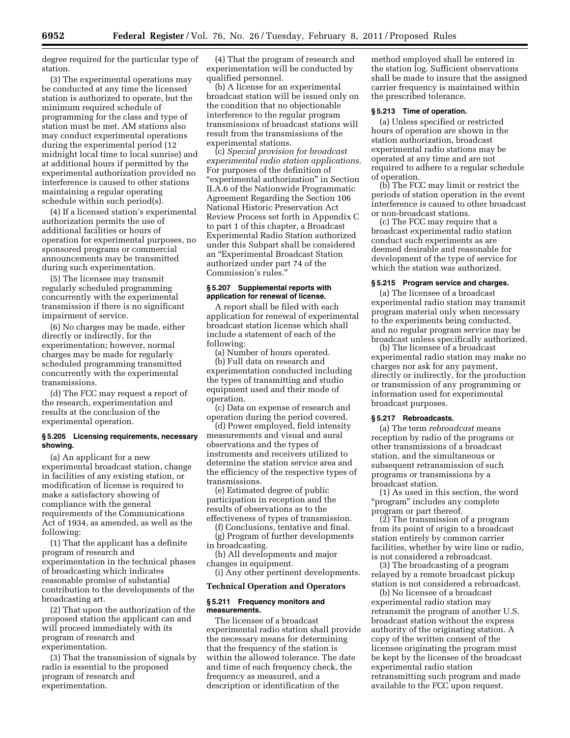degree required for the particular type of station.

(3) The experimental operations may be conducted at any time the licensed station is authorized to operate, but the minimum required schedule of programming for the class and type of station must be met. AM stations also may conduct experimental operations during the experimental period (12 midnight local time to local sunrise) and at additional hours if permitted by the experimental authorization provided no interference is caused to other stations maintaining a regular operating schedule within such period(s).

(4) If a licensed station's experimental authorization permits the use of additional facilities or hours of operation for experimental purposes, no sponsored programs or commercial announcements may be transmitted during such experimentation.

(5) The licensee may transmit regularly scheduled programming concurrently with the experimental transmission if there is no significant impairment of service.

(6) No charges may be made, either directly or indirectly, for the experimentation; however, normal charges may be made for regularly scheduled programming transmitted concurrently with the experimental transmissions.

(d) The FCC may request a report of the research, experimentation and results at the conclusion of the experimental operation.

# **§ 5.205 Licensing requirements, necessary showing.**

(a) An applicant for a new experimental broadcast station, change in facilities of any existing station, or modification of license is required to make a satisfactory showing of compliance with the general requirements of the Communications Act of 1934, as amended, as well as the following:

(1) That the applicant has a definite program of research and experimentation in the technical phases of broadcasting which indicates reasonable promise of substantial contribution to the developments of the broadcasting art.

(2) That upon the authorization of the proposed station the applicant can and will proceed immediately with its program of research and experimentation.

(3) That the transmission of signals by radio is essential to the proposed program of research and experimentation.

(4) That the program of research and experimentation will be conducted by qualified personnel.

(b) A license for an experimental broadcast station will be issued only on the condition that no objectionable interference to the regular program transmissions of broadcast stations will result from the transmissions of the experimental stations.

(c) *Special provision for broadcast experimental radio station applications.*  For purposes of the definition of "experimental authorization" in Section II.A.6 of the Nationwide Programmatic Agreement Regarding the Section 106 National Historic Preservation Act Review Process set forth in Appendix C to part 1 of this chapter, a Broadcast Experimental Radio Station authorized under this Subpart shall be considered an ''Experimental Broadcast Station authorized under part 74 of the Commission's rules.''

# **§ 5.207 Supplemental reports with application for renewal of license.**

A report shall be filed with each application for renewal of experimental broadcast station license which shall include a statement of each of the following:

(a) Number of hours operated.

(b) Full data on research and experimentation conducted including the types of transmitting and studio equipment used and their mode of operation.

(c) Data on expense of research and operation during the period covered.

(d) Power employed, field intensity measurements and visual and aural observations and the types of instruments and receivers utilized to determine the station service area and the efficiency of the respective types of transmissions.

(e) Estimated degree of public participation in reception and the results of observations as to the effectiveness of types of transmission.

(f) Conclusions, tentative and final. (g) Program of further developments in broadcasting.

(h) All developments and major changes in equipment.

(i) Any other pertinent developments.

#### **Technical Operation and Operators**

#### **§ 5.211 Frequency monitors and measurements.**

The licensee of a broadcast experimental radio station shall provide the necessary means for determining that the frequency of the station is within the allowed tolerance. The date and time of each frequency check, the frequency as measured, and a description or identification of the

method employed shall be entered in the station log. Sufficient observations shall be made to insure that the assigned carrier frequency is maintained within the prescribed tolerance.

# **§ 5.213 Time of operation.**

(a) Unless specified or restricted hours of operation are shown in the station authorization, broadcast experimental radio stations may be operated at any time and are not required to adhere to a regular schedule of operation.

(b) The FCC may limit or restrict the periods of station operation in the event interference is caused to other broadcast or non-broadcast stations.

(c) The FCC may require that a broadcast experimental radio station conduct such experiments as are deemed desirable and reasonable for development of the type of service for which the station was authorized.

# **§ 5.215 Program service and charges.**

(a) The licensee of a broadcast experimental radio station may transmit program material only when necessary to the experiments being conducted, and no regular program service may be broadcast unless specifically authorized.

(b) The licensee of a broadcast experimental radio station may make no charges nor ask for any payment, directly or indirectly, for the production or transmission of any programming or information used for experimental broadcast purposes.

#### **§ 5.217 Rebroadcasts.**

(a) The term *rebroadcast* means reception by radio of the programs or other transmissions of a broadcast station, and the simultaneous or subsequent retransmission of such programs or transmissions by a broadcast station.

(1) As used in this section, the word ''program'' includes any complete program or part thereof.

(2) The transmission of a program from its point of origin to a broadcast station entirely by common carrier facilities, whether by wire line or radio, is not considered a rebroadcast.

(3) The broadcasting of a program relayed by a remote broadcast pickup station is not considered a rebroadcast.

(b) No licensee of a broadcast experimental radio station may retransmit the program of another U.S. broadcast station without the express authority of the originating station. A copy of the written consent of the licensee originating the program must be kept by the licensee of the broadcast experimental radio station retransmitting such program and made available to the FCC upon request.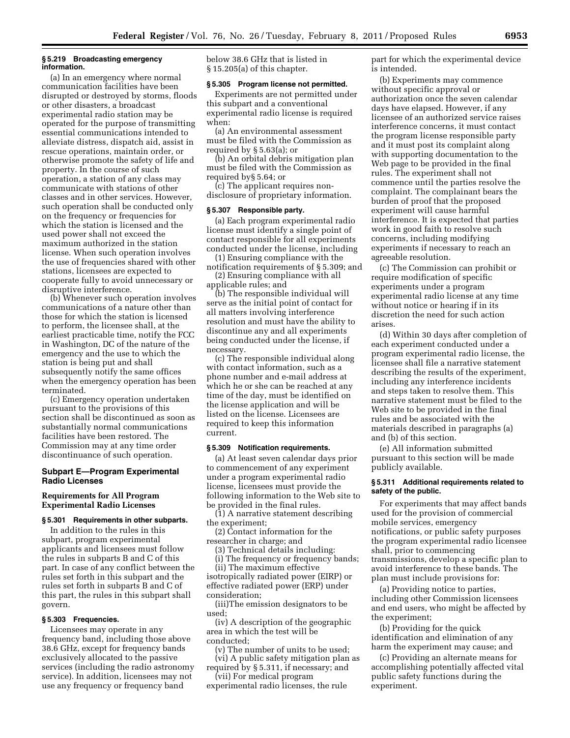# **§ 5.219 Broadcasting emergency information.**

(a) In an emergency where normal communication facilities have been disrupted or destroyed by storms, floods or other disasters, a broadcast experimental radio station may be operated for the purpose of transmitting essential communications intended to alleviate distress, dispatch aid, assist in rescue operations, maintain order, or otherwise promote the safety of life and property. In the course of such operation, a station of any class may communicate with stations of other classes and in other services. However, such operation shall be conducted only on the frequency or frequencies for which the station is licensed and the used power shall not exceed the maximum authorized in the station license. When such operation involves the use of frequencies shared with other stations, licensees are expected to cooperate fully to avoid unnecessary or disruptive interference.

(b) Whenever such operation involves communications of a nature other than those for which the station is licensed to perform, the licensee shall, at the earliest practicable time, notify the FCC in Washington, DC of the nature of the emergency and the use to which the station is being put and shall subsequently notify the same offices when the emergency operation has been terminated.

(c) Emergency operation undertaken pursuant to the provisions of this section shall be discontinued as soon as substantially normal communications facilities have been restored. The Commission may at any time order discontinuance of such operation.

# **Subpart E—Program Experimental Radio Licenses**

# **Requirements for All Program Experimental Radio Licenses**

# **§ 5.301 Requirements in other subparts.**

In addition to the rules in this subpart, program experimental applicants and licensees must follow the rules in subparts B and C of this part. In case of any conflict between the rules set forth in this subpart and the rules set forth in subparts B and C of this part, the rules in this subpart shall govern.

# **§ 5.303 Frequencies.**

Licensees may operate in any frequency band, including those above 38.6 GHz, except for frequency bands exclusively allocated to the passive services (including the radio astronomy service). In addition, licensees may not use any frequency or frequency band

below 38.6 GHz that is listed in § 15.205(a) of this chapter.

#### **§ 5.305 Program license not permitted.**

Experiments are not permitted under this subpart and a conventional experimental radio license is required when:

(a) An environmental assessment must be filed with the Commission as required by § 5.63(a); or

(b) An orbital debris mitigation plan must be filed with the Commission as required by§ 5.64; or

(c) The applicant requires nondisclosure of proprietary information.

# **§ 5.307 Responsible party.**

(a) Each program experimental radio license must identify a single point of contact responsible for all experiments conducted under the license, including

(1) Ensuring compliance with the notification requirements of § 5.309; and

(2) Ensuring compliance with all applicable rules; and

(b) The responsible individual will serve as the initial point of contact for all matters involving interference resolution and must have the ability to discontinue any and all experiments being conducted under the license, if necessary.

(c) The responsible individual along with contact information, such as a phone number and e-mail address at which he or she can be reached at any time of the day, must be identified on the license application and will be listed on the license. Licensees are required to keep this information current.

#### **§ 5.309 Notification requirements.**

(a) At least seven calendar days prior to commencement of any experiment under a program experimental radio license, licensees must provide the following information to the Web site to be provided in the final rules.

(1) A narrative statement describing the experiment;

(2) Contact information for the researcher in charge; and

(3) Technical details including:

(i) The frequency or frequency bands;

(ii) The maximum effective isotropically radiated power (EIRP) or effective radiated power (ERP) under consideration;

(iii)The emission designators to be used;

(iv) A description of the geographic area in which the test will be conducted;

(v) The number of units to be used; (vi) A public safety mitigation plan as

required by § 5.311, if necessary; and (vii) For medical program

experimental radio licenses, the rule

part for which the experimental device is intended.

(b) Experiments may commence without specific approval or authorization once the seven calendar days have elapsed. However, if any licensee of an authorized service raises interference concerns, it must contact the program license responsible party and it must post its complaint along with supporting documentation to the Web page to be provided in the final rules. The experiment shall not commence until the parties resolve the complaint. The complainant bears the burden of proof that the proposed experiment will cause harmful interference. It is expected that parties work in good faith to resolve such concerns, including modifying experiments if necessary to reach an agreeable resolution.

(c) The Commission can prohibit or require modification of specific experiments under a program experimental radio license at any time without notice or hearing if in its discretion the need for such action arises.

(d) Within 30 days after completion of each experiment conducted under a program experimental radio license, the licensee shall file a narrative statement describing the results of the experiment, including any interference incidents and steps taken to resolve them. This narrative statement must be filed to the Web site to be provided in the final rules and be associated with the materials described in paragraphs (a) and (b) of this section.

(e) All information submitted pursuant to this section will be made publicly available.

# **§ 5.311 Additional requirements related to safety of the public.**

For experiments that may affect bands used for the provision of commercial mobile services, emergency notifications, or public safety purposes the program experimental radio licensee shall, prior to commencing transmissions, develop a specific plan to avoid interference to these bands. The plan must include provisions for:

(a) Providing notice to parties, including other Commission licensees and end users, who might be affected by the experiment;

(b) Providing for the quick identification and elimination of any harm the experiment may cause; and

(c) Providing an alternate means for accomplishing potentially affected vital public safety functions during the experiment.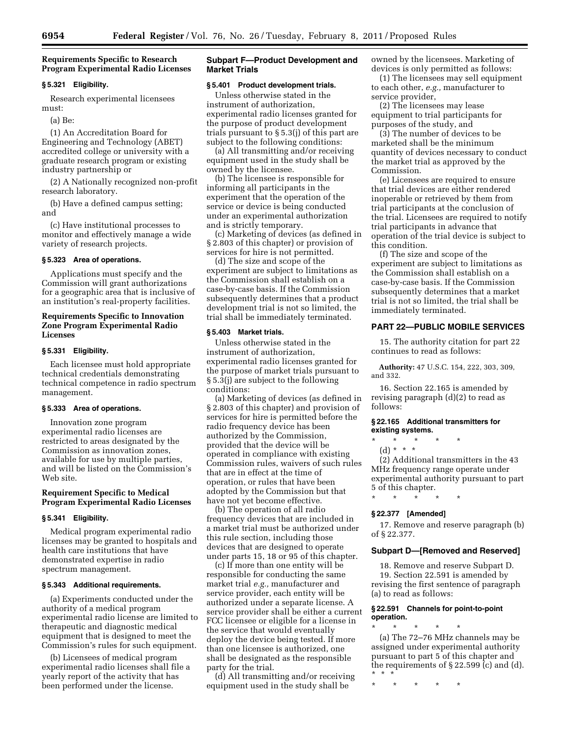# **Requirements Specific to Research Program Experimental Radio Licenses**

#### **§ 5.321 Eligibility.**

Research experimental licensees must:

(a) Be:

(1) An Accreditation Board for Engineering and Technology (ABET) accredited college or university with a graduate research program or existing industry partnership or

(2) A Nationally recognized non-profit research laboratory.

(b) Have a defined campus setting; and

(c) Have institutional processes to monitor and effectively manage a wide variety of research projects.

# **§ 5.323 Area of operations.**

Applications must specify and the Commission will grant authorizations for a geographic area that is inclusive of an institution's real-property facilities.

# **Requirements Specific to Innovation Zone Program Experimental Radio Licenses**

#### **§ 5.331 Eligibility.**

Each licensee must hold appropriate technical credentials demonstrating technical competence in radio spectrum management.

# **§ 5.333 Area of operations.**

Innovation zone program experimental radio licenses are restricted to areas designated by the Commission as innovation zones, available for use by multiple parties, and will be listed on the Commission's Web site.

# **Requirement Specific to Medical Program Experimental Radio Licenses**

#### **§ 5.341 Eligibility.**

Medical program experimental radio licenses may be granted to hospitals and health care institutions that have demonstrated expertise in radio spectrum management.

# **§ 5.343 Additional requirements.**

(a) Experiments conducted under the authority of a medical program experimental radio license are limited to therapeutic and diagnostic medical equipment that is designed to meet the Commission's rules for such equipment.

(b) Licensees of medical program experimental radio licenses shall file a yearly report of the activity that has been performed under the license.

# **Subpart F—Product Development and Market Trials**

#### **§ 5.401 Product development trials.**

Unless otherwise stated in the instrument of authorization, experimental radio licenses granted for the purpose of product development trials pursuant to § 5.3(j) of this part are subject to the following conditions:

(a) All transmitting and/or receiving equipment used in the study shall be owned by the licensee.

(b) The licensee is responsible for informing all participants in the experiment that the operation of the service or device is being conducted under an experimental authorization and is strictly temporary.

(c) Marketing of devices (as defined in § 2.803 of this chapter) or provision of services for hire is not permitted.

(d) The size and scope of the experiment are subject to limitations as the Commission shall establish on a case-by-case basis. If the Commission subsequently determines that a product development trial is not so limited, the trial shall be immediately terminated.

# **§ 5.403 Market trials.**

Unless otherwise stated in the instrument of authorization, experimental radio licenses granted for the purpose of market trials pursuant to § 5.3(j) are subject to the following conditions:

(a) Marketing of devices (as defined in § 2.803 of this chapter) and provision of services for hire is permitted before the radio frequency device has been authorized by the Commission, provided that the device will be operated in compliance with existing Commission rules, waivers of such rules that are in effect at the time of operation, or rules that have been adopted by the Commission but that have not yet become effective.

(b) The operation of all radio frequency devices that are included in a market trial must be authorized under this rule section, including those devices that are designed to operate under parts 15, 18 or 95 of this chapter.

(c) If more than one entity will be responsible for conducting the same market trial *e.g.,* manufacturer and service provider, each entity will be authorized under a separate license. A service provider shall be either a current FCC licensee or eligible for a license in the service that would eventually deploy the device being tested. If more than one licensee is authorized, one shall be designated as the responsible party for the trial.

(d) All transmitting and/or receiving equipment used in the study shall be

owned by the licensees. Marketing of devices is only permitted as follows:

(1) The licensees may sell equipment to each other, *e.g.,* manufacturer to service provider,

(2) The licensees may lease equipment to trial participants for purposes of the study, and

(3) The number of devices to be marketed shall be the minimum quantity of devices necessary to conduct the market trial as approved by the Commission.

(e) Licensees are required to ensure that trial devices are either rendered inoperable or retrieved by them from trial participants at the conclusion of the trial. Licensees are required to notify trial participants in advance that operation of the trial device is subject to this condition.

(f) The size and scope of the experiment are subject to limitations as the Commission shall establish on a case-by-case basis. If the Commission subsequently determines that a market trial is not so limited, the trial shall be immediately terminated.

# **PART 22—PUBLIC MOBILE SERVICES**

15. The authority citation for part 22 continues to read as follows:

**Authority:** 47 U.S.C. 154, 222, 303, 309, and 332.

16. Section 22.165 is amended by revising paragraph (d)(2) to read as follows:

# **§ 22.165 Additional transmitters for existing systems.**

\* \* \* \* \*

(d) \* \* \*

(2) Additional transmitters in the 43 MHz frequency range operate under experimental authority pursuant to part 5 of this chapter.

# \* \* \* \* \*

# **§ 22.377 [Amended]**

17. Remove and reserve paragraph (b) of § 22.377.

# **Subpart D—[Removed and Reserved]**

18. Remove and reserve Subpart D. 19. Section 22.591 is amended by revising the first sentence of paragraph (a) to read as follows:

# **§ 22.591 Channels for point-to-point operation.**

\* \* \* \* \* (a) The 72–76 MHz channels may be assigned under experimental authority pursuant to part 5 of this chapter and the requirements of § 22.599 (c) and (d). \* \* \*

\* \* \* \* \*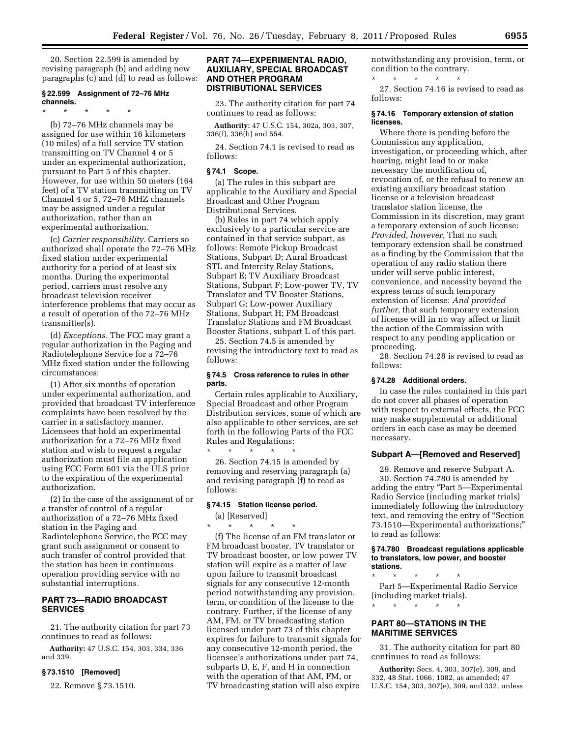20. Section 22.599 is amended by revising paragraph (b) and adding new paragraphs (c) and (d) to read as follows:

# **§ 22.599 Assignment of 72–76 MHz channels.**

\* \* \* \* \*

(b) 72–76 MHz channels may be assigned for use within 16 kilometers (10 miles) of a full service TV station transmitting on TV Channel 4 or 5 under an experimental authorization, pursuant to Part 5 of this chapter. However, for use within 50 meters (164 feet) of a TV station transmitting on TV Channel 4 or 5, 72–76 MHZ channels may be assigned under a regular authorization, rather than an experimental authorization.

(c) *Carrier responsibility.* Carriers so authorized shall operate the 72–76 MHz fixed station under experimental authority for a period of at least six months. During the experimental period, carriers must resolve any broadcast television receiver interference problems that may occur as a result of operation of the 72–76 MHz transmitter(s).

(d) *Exceptions.* The FCC may grant a regular authorization in the Paging and Radiotelephone Service for a 72–76 MHz fixed station under the following circumstances:

(1) After six months of operation under experimental authorization, and provided that broadcast TV interference complaints have been resolved by the carrier in a satisfactory manner. Licensees that hold an experimental authorization for a 72–76 MHz fixed station and wish to request a regular authorization must file an application using FCC Form 601 via the ULS prior to the expiration of the experimental authorization.

(2) In the case of the assignment of or a transfer of control of a regular authorization of a 72–76 MHz fixed station in the Paging and Radiotelephone Service, the FCC may grant such assignment or consent to such transfer of control provided that the station has been in continuous operation providing service with no substantial interruptions.

# **PART 73—RADIO BROADCAST SERVICES**

21. The authority citation for part 73 continues to read as follows:

**Authority:** 47 U.S.C. 154, 303, 334, 336 and 339.

# **§ 73.1510 [Removed]**

22. Remove § 73.1510.

# **PART 74—EXPERIMENTAL RADIO, AUXILIARY, SPECIAL BROADCAST AND OTHER PROGRAM DISTRIBUTIONAL SERVICES**

23. The authority citation for part 74 continues to read as follows:

**Authority:** 47 U.S.C. 154, 302a, 303, 307, 336(f), 336(h) and 554.

24. Section 74.1 is revised to read as follows:

#### **§ 74.1 Scope.**

(a) The rules in this subpart are applicable to the Auxiliary and Special Broadcast and Other Program Distributional Services.

(b) Rules in part 74 which apply exclusively to a particular service are contained in that service subpart, as follows: Remote Pickup Broadcast Stations, Subpart D; Aural Broadcast STL and Intercity Relay Stations, Subpart E; TV Auxiliary Broadcast Stations, Subpart F; Low-power TV, TV Translator and TV Booster Stations, Subpart G; Low-power Auxiliary Stations, Subpart H; FM Broadcast Translator Stations and FM Broadcast Booster Stations, subpart L of this part.

25. Section 74.5 is amended by revising the introductory text to read as follows:

# **§ 74.5 Cross reference to rules in other parts.**

Certain rules applicable to Auxiliary, Special Broadcast and other Program Distribution services, some of which are also applicable to other services, are set forth in the following Parts of the FCC Rules and Regulations:

\* \* \* \* \* 26. Section 74.15 is amended by removing and reserving paragraph (a) and revising paragraph (f) to read as follows:

# **§ 74.15 Station license period.**

(a) [Reserved] \* \* \* \* \*

(f) The license of an FM translator or FM broadcast booster, TV translator or TV broadcast booster, or low power TV station will expire as a matter of law upon failure to transmit broadcast signals for any consecutive 12-month period notwithstanding any provision, term, or condition of the license to the contrary. Further, if the license of any AM, FM, or TV broadcasting station licensed under part 73 of this chapter expires for failure to transmit signals for any consecutive 12-month period, the licensee's authorizations under part 74, subparts D, E, F, and H in connection with the operation of that AM, FM, or TV broadcasting station will also expire

notwithstanding any provision, term, or condition to the contrary. \* \* \* \* \*

27. Section 74.16 is revised to read as follows:

# **§ 74.16 Temporary extension of station licenses.**

Where there is pending before the Commission any application, investigation, or proceeding which, after hearing, might lead to or make necessary the modification of, revocation of, or the refusal to renew an existing auxiliary broadcast station license or a television broadcast translator station license, the Commission in its discretion, may grant a temporary extension of such license: *Provided, however,* That no such temporary extension shall be construed as a finding by the Commission that the operation of any radio station there under will serve public interest, convenience, and necessity beyond the express terms of such temporary extension of license: *And provided further,* that such temporary extension of license will in no way affect or limit the action of the Commission with respect to any pending application or proceeding.

28. Section 74.28 is revised to read as follows:

#### **§ 74.28 Additional orders.**

In case the rules contained in this part do not cover all phases of operation with respect to external effects, the FCC may make supplemental or additional orders in each case as may be deemed necessary.

# **Subpart A—[Removed and Reserved]**

29. Remove and reserve Subpart A. 30. Section 74.780 is amended by adding the entry "Part 5—Experimental Radio Service (including market trials) immediately following the introductory text, and removing the entry of ''Section 73.1510—Experimental authorizations;'' to read as follows:

#### **§ 74.780 Broadcast regulations applicable to translators, low power, and booster stations.**

\* \* \* \* \* Part 5—Experimental Radio Service (including market trials).

# **PART 80—STATIONS IN THE MARITIME SERVICES**

\* \* \* \* \*

31. The authority citation for part 80 continues to read as follows:

**Authority:** Secs. 4, 303, 307(e), 309, and 332, 48 Stat. 1066, 1082, as amended; 47 U.S.C. 154, 303, 307(e), 309, and 332, unless